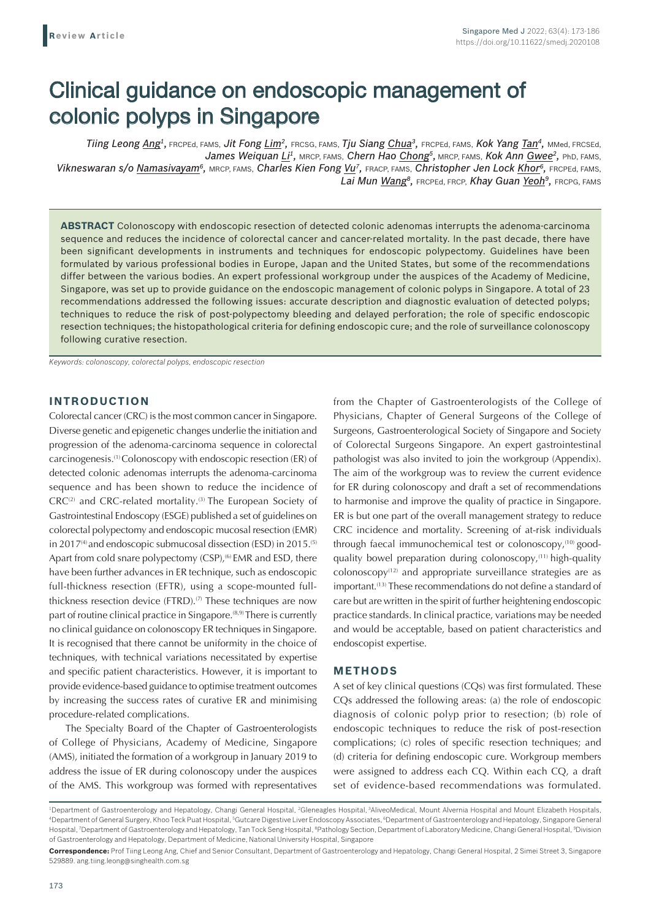# Clinical guidance on endoscopic management of colonic polyps in Singapore

*Tiing Leong Ang1,* FRCPEd, FAMS, *Jit Fong Lim2,* FRCSG, FAMS, *Tju Siang Chua3,* FRCPEd, FAMS, *Kok Yang Tan4,* MMed, FRCSEd, James Weiquan Li<sup>1</sup>, MRCP, FAMS, Chern Hao Chong<sup>5</sup>, MRCP, FAMS, Kok Ann Gwee<sup>2</sup>, PhD, FAMS, *Vikneswaran s/o Namasivayam6,* MRCP, FAMS, *Charles Kien Fong Vu7,* FRACP, FAMS, *Christopher Jen Lock Khor6,* FRCPEd, FAMS, *Lai Mun Wang8,* FRCPEd, FRCP, *Khay Guan Yeoh9,* FRCPG, FAMS

**ABSTRACT** Colonoscopy with endoscopic resection of detected colonic adenomas interrupts the adenoma-carcinoma sequence and reduces the incidence of colorectal cancer and cancer-related mortality. In the past decade, there have been significant developments in instruments and techniques for endoscopic polypectomy. Guidelines have been formulated by various professional bodies in Europe, Japan and the United States, but some of the recommendations differ between the various bodies. An expert professional workgroup under the auspices of the Academy of Medicine, Singapore, was set up to provide guidance on the endoscopic management of colonic polyps in Singapore. A total of 23 recommendations addressed the following issues: accurate description and diagnostic evaluation of detected polyps; techniques to reduce the risk of post-polypectomy bleeding and delayed perforation; the role of specific endoscopic resection techniques; the histopathological criteria for defining endoscopic cure; and the role of surveillance colonoscopy following curative resection.

*Keywords: colonoscopy, colorectal polyps, endoscopic resection*

## **INTRODUCTION**

Colorectal cancer (CRC) is the most common cancer in Singapore. Diverse genetic and epigenetic changes underlie the initiation and progression of the adenoma-carcinoma sequence in colorectal carcinogenesis.(1) Colonoscopy with endoscopic resection (ER) of detected colonic adenomas interrupts the adenoma-carcinoma sequence and has been shown to reduce the incidence of CRC<sup>(2)</sup> and CRC-related mortality.<sup>(3)</sup> The European Society of Gastrointestinal Endoscopy (ESGE) published a set of guidelines on colorectal polypectomy and endoscopic mucosal resection (EMR) in 2017 $(4)$  and endoscopic submucosal dissection (ESD) in 2015.<sup>(5)</sup> Apart from cold snare polypectomy (CSP),<sup>(6)</sup> EMR and ESD, there have been further advances in ER technique, such as endoscopic full-thickness resection (EFTR), using a scope-mounted fullthickness resection device (FTRD).<sup>(7)</sup> These techniques are now part of routine clinical practice in Singapore.<sup>(8,9)</sup> There is currently no clinical guidance on colonoscopy ER techniques in Singapore. It is recognised that there cannot be uniformity in the choice of techniques, with technical variations necessitated by expertise and specific patient characteristics. However, it is important to provide evidence-based guidance to optimise treatment outcomes by increasing the success rates of curative ER and minimising procedure-related complications.

The Specialty Board of the Chapter of Gastroenterologists of College of Physicians, Academy of Medicine, Singapore (AMS), initiated the formation of a workgroup in January 2019 to address the issue of ER during colonoscopy under the auspices of the AMS. This workgroup was formed with representatives from the Chapter of Gastroenterologists of the College of Physicians, Chapter of General Surgeons of the College of Surgeons, Gastroenterological Society of Singapore and Society of Colorectal Surgeons Singapore. An expert gastrointestinal pathologist was also invited to join the workgroup (Appendix). The aim of the workgroup was to review the current evidence for ER during colonoscopy and draft a set of recommendations to harmonise and improve the quality of practice in Singapore. ER is but one part of the overall management strategy to reduce CRC incidence and mortality. Screening of at-risk individuals through faecal immunochemical test or colonoscopy,<sup>(10)</sup> goodquality bowel preparation during colonoscopy, $(11)$  high-quality  $colonoscopy^{(12)}$  and appropriate surveillance strategies are as important.<sup>(13)</sup> These recommendations do not define a standard of care but are written in the spirit of further heightening endoscopic practice standards. In clinical practice, variations may be needed and would be acceptable, based on patient characteristics and endoscopist expertise.

#### **METHODS**

A set of key clinical questions (CQs) was first formulated. These CQs addressed the following areas: (a) the role of endoscopic diagnosis of colonic polyp prior to resection; (b) role of endoscopic techniques to reduce the risk of post-resection complications; (c) roles of specific resection techniques; and (d) criteria for defining endoscopic cure. Workgroup members were assigned to address each CQ. Within each CQ, a draft set of evidence-based recommendations was formulated.

<sup>&</sup>lt;sup>1</sup>Department of Gastroenterology and Hepatology, Changi General Hospital, <sup>2</sup>Gleneagles Hospital, <sup>3</sup>AliveoMedical, Mount Alvernia Hospital and Mount Elizabeth Hospitals, 4 Department of General Surgery, Khoo Teck Puat Hospital, 5 Gutcare Digestive Liver Endoscopy Associates, 6 Department of Gastroenterology and Hepatology, Singapore General Hospital, <sup>7</sup>Department of Gastroenterology and Hepatology, Tan Tock Seng Hospital, <sup>a</sup>Pathology Section, Department of Laboratory Medicine, Changi General Hospital, <sup>a</sup>Division of Gastroenterology and Hepatology, Department of Medicine, National University Hospital, Singapore

**Correspondence:** Prof Tiing Leong Ang, Chief and Senior Consultant, Department of Gastroenterology and Hepatology, Changi General Hospital, 2 Simei Street 3, Singapore 529889. ang.tiing.leong@singhealth.com.sg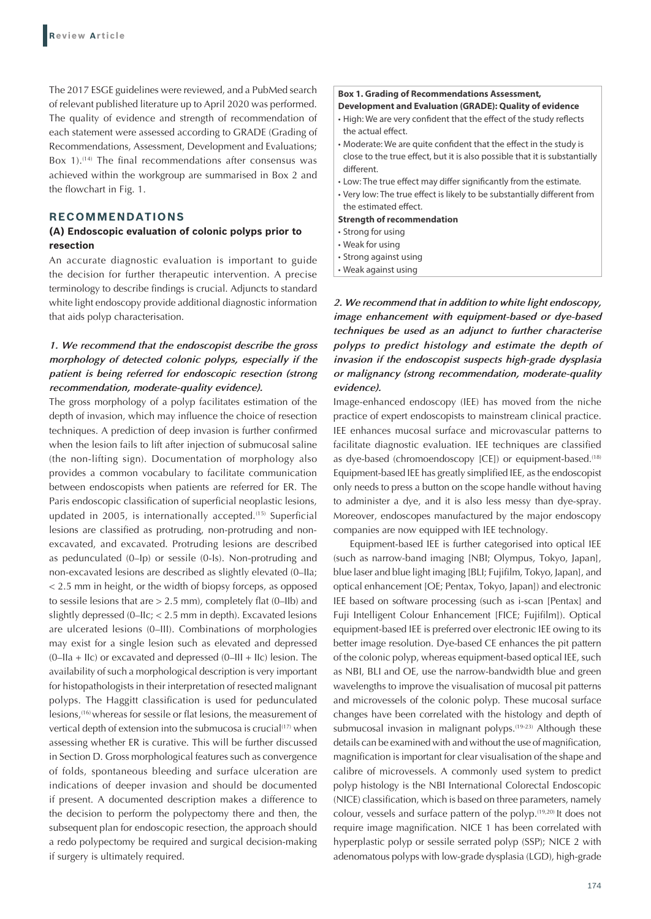The 2017 ESGE guidelines were reviewed, and a PubMed search of relevant published literature up to April 2020 was performed. The quality of evidence and strength of recommendation of each statement were assessed according to GRADE (Grading of Recommendations, Assessment, Development and Evaluations; Box 1).<sup>(14)</sup> The final recommendations after consensus was achieved within the workgroup are summarised in Box 2 and the flowchart in Fig. 1.

#### **RECOMMENDATIONS**

#### **(A) Endoscopic evaluation of colonic polyps prior to resection**

An accurate diagnostic evaluation is important to guide the decision for further therapeutic intervention. A precise terminology to describe findings is crucial. Adjuncts to standard white light endoscopy provide additional diagnostic information that aids polyp characterisation.

## *1. We recommend that the endoscopist describe the gross morphology of detected colonic polyps, especially if the patient is being referred for endoscopic resection (strong recommendation, moderate-quality evidence).*

The gross morphology of a polyp facilitates estimation of the depth of invasion, which may influence the choice of resection techniques. A prediction of deep invasion is further confirmed when the lesion fails to lift after injection of submucosal saline (the non-lifting sign). Documentation of morphology also provides a common vocabulary to facilitate communication between endoscopists when patients are referred for ER. The Paris endoscopic classification of superficial neoplastic lesions, updated in 2005, is internationally accepted.<sup>(15)</sup> Superficial lesions are classified as protruding, non-protruding and nonexcavated, and excavated. Protruding lesions are described as pedunculated (0–Ip) or sessile (0-Is). Non-protruding and non-excavated lesions are described as slightly elevated (0–IIa; < 2.5 mm in height, or the width of biopsy forceps, as opposed to sessile lesions that are  $> 2.5$  mm), completely flat (0–IIb) and slightly depressed (0–IIc; < 2.5 mm in depth). Excavated lesions are ulcerated lesions (0–III). Combinations of morphologies may exist for a single lesion such as elevated and depressed  $(0$ –IIa + IIc) or excavated and depressed  $(0$ –III + IIc) lesion. The availability of such a morphological description is very important for histopathologists in their interpretation of resected malignant polyps. The Haggitt classification is used for pedunculated lesions,(16) whereas for sessile or flat lesions, the measurement of vertical depth of extension into the submucosa is crucial<sup>(17)</sup> when assessing whether ER is curative. This will be further discussed in Section D. Gross morphological features such as convergence of folds, spontaneous bleeding and surface ulceration are indications of deeper invasion and should be documented if present. A documented description makes a difference to the decision to perform the polypectomy there and then, the subsequent plan for endoscopic resection, the approach should a redo polypectomy be required and surgical decision-making if surgery is ultimately required.

#### **Box 1. Grading of Recommendations Assessment,**

#### **Development and Evaluation (GRADE): Quality of evidence**

- High: We are very confident that the effect of the study reflects the actual effect.
- Moderate: We are quite confident that the effect in the study is close to the true effect, but it is also possible that it is substantially different.
- Low: The true effect may differ significantly from the estimate.
- Very low: The true effect is likely to be substantially different from the estimated effect.

#### **Strength of recommendation**

- Strong for using
- Weak for using
- Strong against using
- Weak against using

*2. We recommend that in addition to white light endoscopy, image enhancement with equipment-based or dye-based techniques be used as an adjunct to further characterise polyps to predict histology and estimate the depth of invasion if the endoscopist suspects high-grade dysplasia or malignancy (strong recommendation, moderate-quality evidence).*

Image-enhanced endoscopy (IEE) has moved from the niche practice of expert endoscopists to mainstream clinical practice. IEE enhances mucosal surface and microvascular patterns to facilitate diagnostic evaluation. IEE techniques are classified as dye-based (chromoendoscopy [CE]) or equipment-based.<sup>(18)</sup> Equipment-based IEE has greatly simplified IEE, as the endoscopist only needs to press a button on the scope handle without having to administer a dye, and it is also less messy than dye-spray. Moreover, endoscopes manufactured by the major endoscopy companies are now equipped with IEE technology.

Equipment-based IEE is further categorised into optical IEE (such as narrow-band imaging [NBI; Olympus, Tokyo, Japan], blue laser and blue light imaging [BLI; Fujifilm, Tokyo, Japan], and optical enhancement [OE; Pentax, Tokyo, Japan]) and electronic IEE based on software processing (such as i-scan [Pentax] and Fuji Intelligent Colour Enhancement [FICE; Fujifilm]). Optical equipment-based IEE is preferred over electronic IEE owing to its better image resolution. Dye-based CE enhances the pit pattern of the colonic polyp, whereas equipment-based optical IEE, such as NBI, BLI and OE, use the narrow-bandwidth blue and green wavelengths to improve the visualisation of mucosal pit patterns and microvessels of the colonic polyp. These mucosal surface changes have been correlated with the histology and depth of submucosal invasion in malignant polyps.<sup>(19-23)</sup> Although these details can be examined with and without the use of magnification, magnification is important for clear visualisation of the shape and calibre of microvessels. A commonly used system to predict polyp histology is the NBI International Colorectal Endoscopic (NICE) classification, which is based on three parameters, namely colour, vessels and surface pattern of the polyp.(19,20) It does not require image magnification. NICE 1 has been correlated with hyperplastic polyp or sessile serrated polyp (SSP); NICE 2 with adenomatous polyps with low-grade dysplasia (LGD), high-grade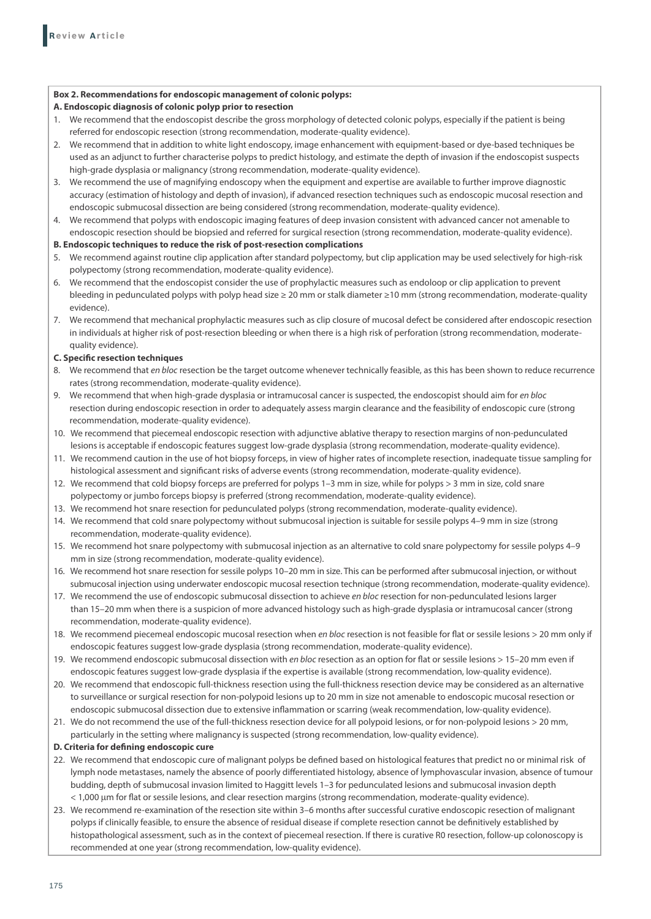#### **Box 2. Recommendations for endoscopic management of colonic polyps:**

#### **A. Endoscopic diagnosis of colonic polyp prior to resection**

- 1. We recommend that the endoscopist describe the gross morphology of detected colonic polyps, especially if the patient is being referred for endoscopic resection (strong recommendation, moderate-quality evidence).
- 2. We recommend that in addition to white light endoscopy, image enhancement with equipment-based or dye-based techniques be used as an adjunct to further characterise polyps to predict histology, and estimate the depth of invasion if the endoscopist suspects high-grade dysplasia or malignancy (strong recommendation, moderate-quality evidence).
- 3. We recommend the use of magnifying endoscopy when the equipment and expertise are available to further improve diagnostic accuracy (estimation of histology and depth of invasion), if advanced resection techniques such as endoscopic mucosal resection and endoscopic submucosal dissection are being considered (strong recommendation, moderate-quality evidence).
- 4. We recommend that polyps with endoscopic imaging features of deep invasion consistent with advanced cancer not amenable to endoscopic resection should be biopsied and referred for surgical resection (strong recommendation, moderate-quality evidence).

#### **B. Endoscopic techniques to reduce the risk of post‑resection complications**

- 5. We recommend against routine clip application after standard polypectomy, but clip application may be used selectively for high-risk polypectomy (strong recommendation, moderate-quality evidence).
- 6. We recommend that the endoscopist consider the use of prophylactic measures such as endoloop or clip application to prevent bleeding in pedunculated polyps with polyp head size ≥ 20 mm or stalk diameter ≥10 mm (strong recommendation, moderate-quality evidence).
- 7. We recommend that mechanical prophylactic measures such as clip closure of mucosal defect be considered after endoscopic resection in individuals at higher risk of post-resection bleeding or when there is a high risk of perforation (strong recommendation, moderatequality evidence).

#### **C. Specific resection techniques**

- 8. We recommend that *en bloc* resection be the target outcome whenever technically feasible, as this has been shown to reduce recurrence rates (strong recommendation, moderate-quality evidence).
- 9. We recommend that when high-grade dysplasia or intramucosal cancer is suspected, the endoscopist should aim for *en bloc* resection during endoscopic resection in order to adequately assess margin clearance and the feasibility of endoscopic cure (strong recommendation, moderate-quality evidence).
- 10. We recommend that piecemeal endoscopic resection with adjunctive ablative therapy to resection margins of non-pedunculated lesions is acceptable if endoscopic features suggest low-grade dysplasia (strong recommendation, moderate-quality evidence).
- 11. We recommend caution in the use of hot biopsy forceps, in view of higher rates of incomplete resection, inadequate tissue sampling for histological assessment and significant risks of adverse events (strong recommendation, moderate-quality evidence).
- 12. We recommend that cold biopsy forceps are preferred for polyps 1–3 mm in size, while for polyps > 3 mm in size, cold snare polypectomy or jumbo forceps biopsy is preferred (strong recommendation, moderate-quality evidence).
- 13. We recommend hot snare resection for pedunculated polyps (strong recommendation, moderate-quality evidence).
- 14. We recommend that cold snare polypectomy without submucosal injection is suitable for sessile polyps 4–9 mm in size (strong recommendation, moderate-quality evidence).
- 15. We recommend hot snare polypectomy with submucosal injection as an alternative to cold snare polypectomy for sessile polyps 4–9 mm in size (strong recommendation, moderate-quality evidence).
- 16. We recommend hot snare resection for sessile polyps 10–20 mm in size. This can be performed after submucosal injection, or without submucosal injection using underwater endoscopic mucosal resection technique (strong recommendation, moderate-quality evidence).
- 17. We recommend the use of endoscopic submucosal dissection to achieve *en bloc* resection for non-pedunculated lesions larger than 15–20 mm when there is a suspicion of more advanced histology such as high-grade dysplasia or intramucosal cancer (strong recommendation, moderate-quality evidence).
- 18. We recommend piecemeal endoscopic mucosal resection when *en bloc* resection is not feasible for flat or sessile lesions > 20 mm only if endoscopic features suggest low-grade dysplasia (strong recommendation, moderate-quality evidence).
- 19. We recommend endoscopic submucosal dissection with *en bloc* resection as an option for flat or sessile lesions > 15–20 mm even if endoscopic features suggest low-grade dysplasia if the expertise is available (strong recommendation, low-quality evidence).
- 20. We recommend that endoscopic full-thickness resection using the full-thickness resection device may be considered as an alternative to surveillance or surgical resection for non-polypoid lesions up to 20 mm in size not amenable to endoscopic mucosal resection or endoscopic submucosal dissection due to extensive inflammation or scarring (weak recommendation, low-quality evidence).
- 21. We do not recommend the use of the full-thickness resection device for all polypoid lesions, or for non-polypoid lesions > 20 mm, particularly in the setting where malignancy is suspected (strong recommendation, low-quality evidence).

#### **D. Criteria for defining endoscopic cure**

- 22. We recommend that endoscopic cure of malignant polyps be defined based on histological features that predict no or minimal risk of lymph node metastases, namely the absence of poorly differentiated histology, absence of lymphovascular invasion, absence of tumour budding, depth of submucosal invasion limited to Haggitt levels 1–3 for pedunculated lesions and submucosal invasion depth < 1,000 μm for flat or sessile lesions, and clear resection margins (strong recommendation, moderate-quality evidence).
- 23. We recommend re-examination of the resection site within 3–6 months after successful curative endoscopic resection of malignant polyps if clinically feasible, to ensure the absence of residual disease if complete resection cannot be definitively established by histopathological assessment, such as in the context of piecemeal resection. If there is curative R0 resection, follow-up colonoscopy is recommended at one year (strong recommendation, low-quality evidence).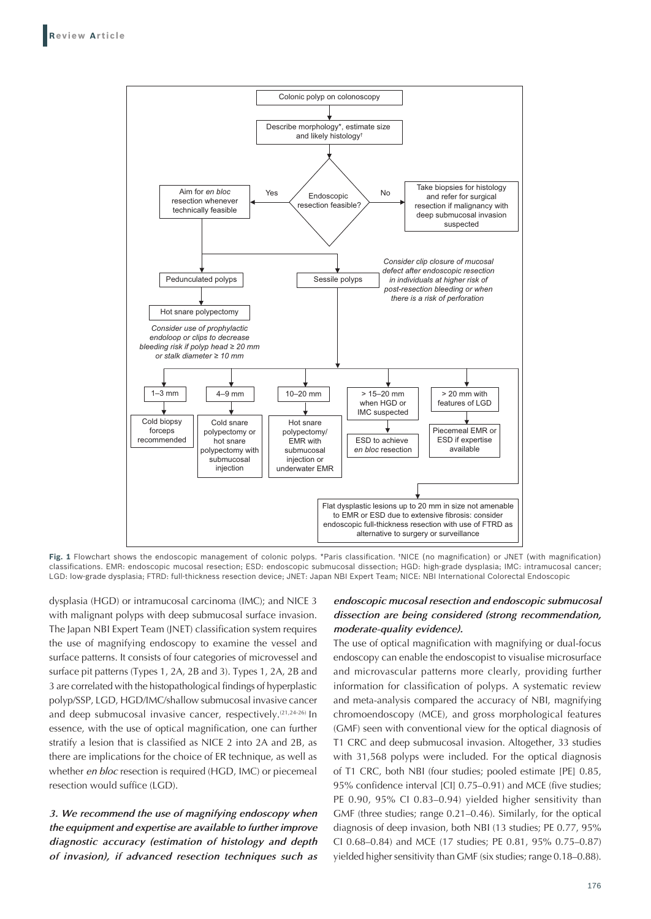

**Fig. 1** Flowchart shows the endoscopic management of colonic polyps. \*Paris classification. †NICE (no magnification) or JNET (with magnification) classifications. EMR: endoscopic mucosal resection; ESD: endoscopic submucosal dissection; HGD: high-grade dysplasia; IMC: intramucosal cancer; LGD: low-grade dysplasia; FTRD: full-thickness resection device; JNET: Japan NBI Expert Team; NICE: NBI International Colorectal Endoscopic

dysplasia (HGD) or intramucosal carcinoma (IMC); and NICE 3 with malignant polyps with deep submucosal surface invasion. The Japan NBI Expert Team (JNET) classification system requires the use of magnifying endoscopy to examine the vessel and surface patterns. It consists of four categories of microvessel and surface pit patterns (Types 1, 2A, 2B and 3). Types 1, 2A, 2B and 3 are correlated with the histopathological findings of hyperplastic polyp/SSP, LGD, HGD/IMC/shallow submucosal invasive cancer and deep submucosal invasive cancer, respectively.(21,24-26) In essence, with the use of optical magnification, one can further stratify a lesion that is classified as NICE 2 into 2A and 2B, as there are implications for the choice of ER technique, as well as whether *en bloc* resection is required (HGD, IMC) or piecemeal resection would suffice (LGD).

*3. We recommend the use of magnifying endoscopy when the equipment and expertise are available to further improve diagnostic accuracy (estimation of histology and depth of invasion), if advanced resection techniques such as* 

## *endoscopic mucosal resection and endoscopic submucosal dissection are being considered (strong recommendation, moderate-quality evidence).*

The use of optical magnification with magnifying or dual-focus endoscopy can enable the endoscopist to visualise microsurface and microvascular patterns more clearly, providing further information for classification of polyps. A systematic review and meta-analysis compared the accuracy of NBI, magnifying chromoendoscopy (MCE), and gross morphological features (GMF) seen with conventional view for the optical diagnosis of T1 CRC and deep submucosal invasion. Altogether, 33 studies with 31,568 polyps were included. For the optical diagnosis of T1 CRC, both NBI (four studies; pooled estimate [PE] 0.85, 95% confidence interval [CI] 0.75–0.91) and MCE (five studies; PE 0.90, 95% CI 0.83–0.94) yielded higher sensitivity than GMF (three studies; range 0.21–0.46). Similarly, for the optical diagnosis of deep invasion, both NBI (13 studies; PE 0.77, 95% CI 0.68–0.84) and MCE (17 studies; PE 0.81, 95% 0.75–0.87) yielded higher sensitivity than GMF (six studies; range 0.18–0.88).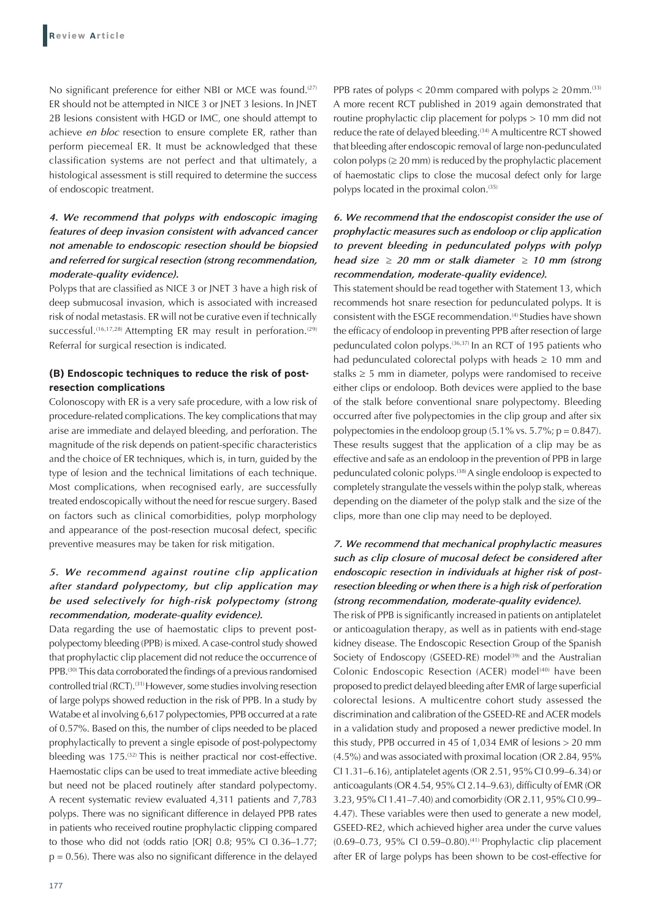No significant preference for either NBI or MCE was found.<sup>(27)</sup> ER should not be attempted in NICE 3 or JNET 3 lesions. In JNET 2B lesions consistent with HGD or IMC, one should attempt to achieve *en bloc* resection to ensure complete ER, rather than perform piecemeal ER. It must be acknowledged that these classification systems are not perfect and that ultimately, a histological assessment is still required to determine the success of endoscopic treatment.

## *4. We recommend that polyps with endoscopic imaging features of deep invasion consistent with advanced cancer not amenable to endoscopic resection should be biopsied and referred for surgical resection (strong recommendation, moderate-quality evidence).*

Polyps that are classified as NICE 3 or JNET 3 have a high risk of deep submucosal invasion, which is associated with increased risk of nodal metastasis. ER will not be curative even if technically successful.<sup>(16,17,28)</sup> Attempting ER may result in perforation.<sup>(29)</sup> Referral for surgical resection is indicated.

## **(B) Endoscopic techniques to reduce the risk of postresection complications**

Colonoscopy with ER is a very safe procedure, with a low risk of procedure-related complications. The key complications that may arise are immediate and delayed bleeding, and perforation. The magnitude of the risk depends on patient-specific characteristics and the choice of ER techniques, which is, in turn, guided by the type of lesion and the technical limitations of each technique. Most complications, when recognised early, are successfully treated endoscopically without the need for rescue surgery. Based on factors such as clinical comorbidities, polyp morphology and appearance of the post-resection mucosal defect, specific preventive measures may be taken for risk mitigation.

## *5. We recommend against routine clip application after standard polypectomy, but clip application may be used selectively for high-risk polypectomy (strong recommendation, moderate-quality evidence).*

Data regarding the use of haemostatic clips to prevent postpolypectomy bleeding (PPB) is mixed. A case-control study showed that prophylactic clip placement did not reduce the occurrence of PPB.<sup>(30)</sup> This data corroborated the findings of a previous randomised controlled trial (RCT).<sup>(31)</sup> However, some studies involving resection of large polyps showed reduction in the risk of PPB. In a study by Watabe et al involving 6,617 polypectomies, PPB occurred at a rate of 0.57%. Based on this, the number of clips needed to be placed prophylactically to prevent a single episode of post-polypectomy bleeding was 175.<sup>(32)</sup> This is neither practical nor cost-effective. Haemostatic clips can be used to treat immediate active bleeding but need not be placed routinely after standard polypectomy. A recent systematic review evaluated 4,311 patients and 7,783 polyps. There was no significant difference in delayed PPB rates in patients who received routine prophylactic clipping compared to those who did not (odds ratio [OR] 0.8; 95% CI 0.36–1.77;  $p = 0.56$ ). There was also no significant difference in the delayed PPB rates of polyps < 20 mm compared with polyps  $\geq 20$  mm.<sup>(33)</sup> A more recent RCT published in 2019 again demonstrated that routine prophylactic clip placement for polyps > 10 mm did not reduce the rate of delayed bleeding.<sup>(34)</sup> A multicentre RCT showed that bleeding after endoscopic removal of large non-pedunculated colon polyps ( $\geq$  20 mm) is reduced by the prophylactic placement of haemostatic clips to close the mucosal defect only for large polyps located in the proximal colon.<sup>(35)</sup>

## *6. We recommend that the endoscopist consider the use of prophylactic measures such as endoloop or clip application to prevent bleeding in pedunculated polyps with polyp head size ≥*≥ *20 mm or stalk diameter ≥*≥ *10 mm (strong recommendation, moderate-quality evidence).*

This statement should be read together with Statement 13, which recommends hot snare resection for pedunculated polyps. It is consistent with the ESGE recommendation.<sup>(4)</sup> Studies have shown the efficacy of endoloop in preventing PPB after resection of large pedunculated colon polyps.(36,37) In an RCT of 195 patients who had pedunculated colorectal polyps with heads  $\geq 10$  mm and stalks  $\geq$  5 mm in diameter, polyps were randomised to receive either clips or endoloop. Both devices were applied to the base of the stalk before conventional snare polypectomy. Bleeding occurred after five polypectomies in the clip group and after six polypectomies in the endoloop group  $(5.1\% \text{ vs. } 5.7\%; \text{ p} = 0.847).$ These results suggest that the application of a clip may be as effective and safe as an endoloop in the prevention of PPB in large pedunculated colonic polyps.(38) A single endoloop is expected to completely strangulate the vessels within the polyp stalk, whereas depending on the diameter of the polyp stalk and the size of the clips, more than one clip may need to be deployed.

## *7. We recommend that mechanical prophylactic measures such as clip closure of mucosal defect be considered after endoscopic resection in individuals at higher risk of postresection bleeding or when there is a high risk of perforation (strong recommendation, moderate-quality evidence).*

The risk of PPB is significantly increased in patients on antiplatelet or anticoagulation therapy, as well as in patients with end-stage kidney disease. The Endoscopic Resection Group of the Spanish Society of Endoscopy (GSEED-RE) model<sup>(39)</sup> and the Australian Colonic Endoscopic Resection (ACER) model<sup>(40)</sup> have been proposed to predict delayed bleeding after EMR of large superficial colorectal lesions. A multicentre cohort study assessed the discrimination and calibration of the GSEED-RE and ACER models in a validation study and proposed a newer predictive model. In this study, PPB occurred in 45 of 1,034 EMR of lesions > 20 mm (4.5%) and was associated with proximal location (OR 2.84, 95% CI 1.31–6.16), antiplatelet agents (OR 2.51, 95% CI 0.99–6.34) or anticoagulants (OR 4.54, 95% CI 2.14–9.63), difficulty of EMR (OR 3.23, 95% CI 1.41–7.40) and comorbidity (OR 2.11, 95% CI 0.99– 4.47). These variables were then used to generate a new model, GSEED-RE2, which achieved higher area under the curve values (0.69–0.73, 95% CI 0.59–0.80).(41) Prophylactic clip placement after ER of large polyps has been shown to be cost-effective for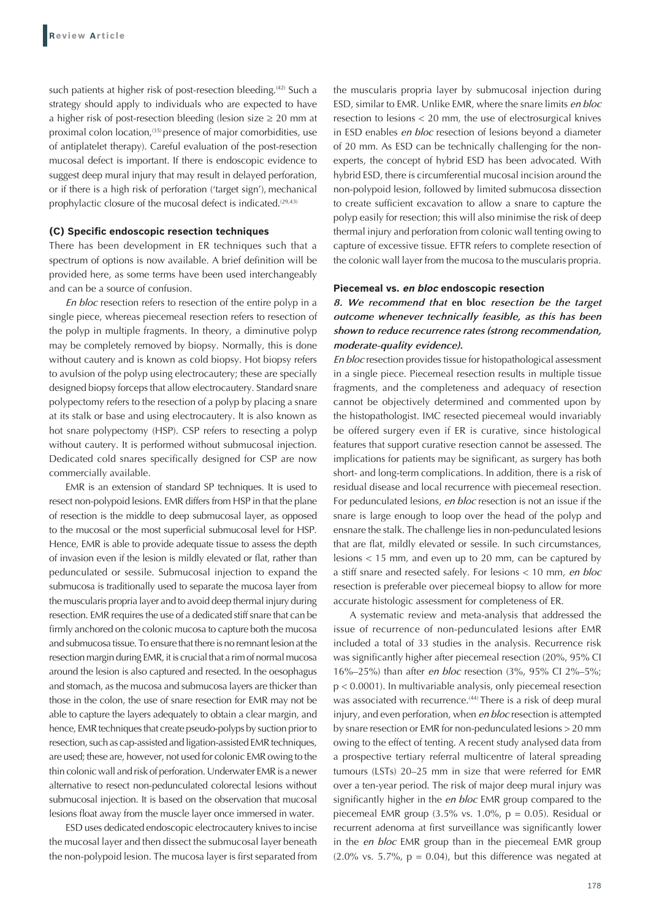such patients at higher risk of post-resection bleeding.<sup>(42)</sup> Such a strategy should apply to individuals who are expected to have a higher risk of post-resection bleeding (lesion size  $\geq 20$  mm at proximal colon location,<sup>(35)</sup> presence of major comorbidities, use of antiplatelet therapy). Careful evaluation of the post-resection mucosal defect is important. If there is endoscopic evidence to suggest deep mural injury that may result in delayed perforation, or if there is a high risk of perforation ('target sign'), mechanical prophylactic closure of the mucosal defect is indicated.<sup>(29,43)</sup>

#### **(C) Specific endoscopic resection techniques**

There has been development in ER techniques such that a spectrum of options is now available. A brief definition will be provided here, as some terms have been used interchangeably and can be a source of confusion.

*En bloc* resection refers to resection of the entire polyp in a single piece, whereas piecemeal resection refers to resection of the polyp in multiple fragments. In theory, a diminutive polyp may be completely removed by biopsy. Normally, this is done without cautery and is known as cold biopsy. Hot biopsy refers to avulsion of the polyp using electrocautery; these are specially designed biopsy forceps that allow electrocautery. Standard snare polypectomy refers to the resection of a polyp by placing a snare at its stalk or base and using electrocautery. It is also known as hot snare polypectomy (HSP). CSP refers to resecting a polyp without cautery. It is performed without submucosal injection. Dedicated cold snares specifically designed for CSP are now commercially available.

EMR is an extension of standard SP techniques. It is used to resect non-polypoid lesions. EMR differs from HSP in that the plane of resection is the middle to deep submucosal layer, as opposed to the mucosal or the most superficial submucosal level for HSP. Hence, EMR is able to provide adequate tissue to assess the depth of invasion even if the lesion is mildly elevated or flat, rather than pedunculated or sessile. Submucosal injection to expand the submucosa is traditionally used to separate the mucosa layer from the muscularis propria layer and to avoid deep thermal injury during resection. EMR requires the use of a dedicated stiff snare that can be firmly anchored on the colonic mucosa to capture both the mucosa and submucosa tissue. To ensure that there is no remnant lesion at the resection margin during EMR, it is crucial that a rim of normal mucosa around the lesion is also captured and resected. In the oesophagus and stomach, as the mucosa and submucosa layers are thicker than those in the colon, the use of snare resection for EMR may not be able to capture the layers adequately to obtain a clear margin, and hence, EMR techniques that create pseudo-polyps by suction prior to resection, such as cap-assisted and ligation-assisted EMR techniques, are used; these are, however, not used for colonic EMR owing to the thin colonic wall and risk of perforation. Underwater EMR is a newer alternative to resect non-pedunculated colorectal lesions without submucosal injection. It is based on the observation that mucosal lesions float away from the muscle layer once immersed in water.

ESD uses dedicated endoscopic electrocautery knives to incise the mucosal layer and then dissect the submucosal layer beneath the non-polypoid lesion. The mucosa layer is first separated from the muscularis propria layer by submucosal injection during ESD, similar to EMR. Unlike EMR, where the snare limits *en bloc* resection to lesions < 20 mm, the use of electrosurgical knives in ESD enables *en bloc* resection of lesions beyond a diameter of 20 mm. As ESD can be technically challenging for the nonexperts, the concept of hybrid ESD has been advocated. With hybrid ESD, there is circumferential mucosal incision around the non-polypoid lesion, followed by limited submucosa dissection to create sufficient excavation to allow a snare to capture the polyp easily for resection; this will also minimise the risk of deep thermal injury and perforation from colonic wall tenting owing to capture of excessive tissue. EFTR refers to complete resection of the colonic wall layer from the mucosa to the muscularis propria.

#### **Piecemeal vs. en bloc endoscopic resection**

*8. We recommend that* **en bloc** *resection be the target outcome whenever technically feasible, as this has been shown to reduce recurrence rates (strong recommendation, moderate-quality evidence).*

*En bloc* resection provides tissue for histopathological assessment in a single piece. Piecemeal resection results in multiple tissue fragments, and the completeness and adequacy of resection cannot be objectively determined and commented upon by the histopathologist. IMC resected piecemeal would invariably be offered surgery even if ER is curative, since histological features that support curative resection cannot be assessed. The implications for patients may be significant, as surgery has both short- and long-term complications. In addition, there is a risk of residual disease and local recurrence with piecemeal resection. For pedunculated lesions, *en bloc* resection is not an issue if the snare is large enough to loop over the head of the polyp and ensnare the stalk. The challenge lies in non-pedunculated lesions that are flat, mildly elevated or sessile. In such circumstances, lesions < 15 mm, and even up to 20 mm, can be captured by a stiff snare and resected safely. For lesions < 10 mm, *en bloc* resection is preferable over piecemeal biopsy to allow for more accurate histologic assessment for completeness of ER.

A systematic review and meta-analysis that addressed the issue of recurrence of non-pedunculated lesions after EMR included a total of 33 studies in the analysis. Recurrence risk was significantly higher after piecemeal resection (20%, 95% CI 16%–25%) than after *en bloc* resection (3%, 95% CI 2%–5%; p < 0.0001). In multivariable analysis, only piecemeal resection was associated with recurrence.<sup>(44)</sup> There is a risk of deep mural injury, and even perforation, when *en bloc* resection is attempted by snare resection or EMR for non-pedunculated lesions > 20 mm owing to the effect of tenting. A recent study analysed data from a prospective tertiary referral multicentre of lateral spreading tumours (LSTs) 20–25 mm in size that were referred for EMR over a ten-year period. The risk of major deep mural injury was significantly higher in the *en bloc* EMR group compared to the piecemeal EMR group  $(3.5\% \text{ vs. } 1.0\% , p = 0.05)$ . Residual or recurrent adenoma at first surveillance was significantly lower in the *en bloc* EMR group than in the piecemeal EMR group  $(2.0\% \text{ vs. } 5.7\%, \text{ p} = 0.04)$ , but this difference was negated at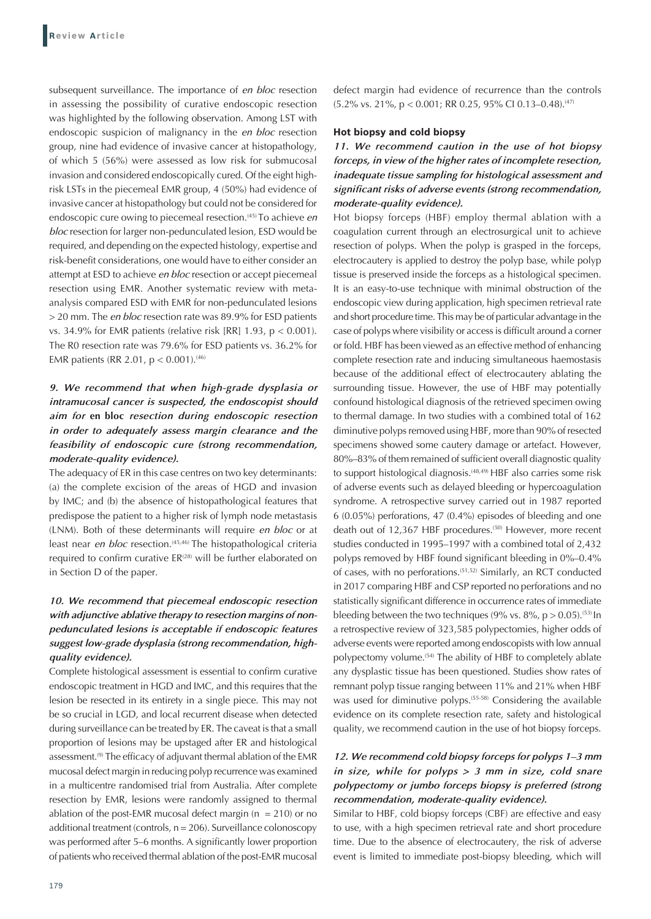subsequent surveillance. The importance of *en bloc* resection in assessing the possibility of curative endoscopic resection was highlighted by the following observation. Among LST with endoscopic suspicion of malignancy in the *en bloc* resection group, nine had evidence of invasive cancer at histopathology, of which 5 (56%) were assessed as low risk for submucosal invasion and considered endoscopically cured. Of the eight highrisk LSTs in the piecemeal EMR group, 4 (50%) had evidence of invasive cancer at histopathology but could not be considered for endoscopic cure owing to piecemeal resection.(45) To achieve *en bloc* resection for larger non-pedunculated lesion, ESD would be required, and depending on the expected histology, expertise and risk-benefit considerations, one would have to either consider an attempt at ESD to achieve *en bloc* resection or accept piecemeal resection using EMR. Another systematic review with metaanalysis compared ESD with EMR for non-pedunculated lesions > 20 mm. The *en bloc* resection rate was 89.9% for ESD patients vs. 34.9% for EMR patients (relative risk [RR] 1.93, p < 0.001). The R0 resection rate was 79.6% for ESD patients vs. 36.2% for EMR patients (RR 2.01,  $p < 0.001$ ).<sup>(46)</sup>

## *9. We recommend that when high-grade dysplasia or intramucosal cancer is suspected, the endoscopist should aim for* **en bloc** *resection during endoscopic resection in order to adequately assess margin clearance and the feasibility of endoscopic cure (strong recommendation, moderate-quality evidence).*

The adequacy of ER in this case centres on two key determinants: (a) the complete excision of the areas of HGD and invasion by IMC; and (b) the absence of histopathological features that predispose the patient to a higher risk of lymph node metastasis (LNM). Both of these determinants will require *en bloc* or at least near *en bloc* resection.<sup>(45,46)</sup> The histopathological criteria required to confirm curative ER<sup>(28)</sup> will be further elaborated on in Section D of the paper.

## *10. We recommend that piecemeal endoscopic resection with adjunctive ablative therapy to resection margins of nonpedunculated lesions is acceptable if endoscopic features suggest low-grade dysplasia (strong recommendation, highquality evidence).*

Complete histological assessment is essential to confirm curative endoscopic treatment in HGD and IMC, and this requires that the lesion be resected in its entirety in a single piece. This may not be so crucial in LGD, and local recurrent disease when detected during surveillance can be treated by ER. The caveat is that a small proportion of lesions may be upstaged after ER and histological assessment.<sup>(9)</sup> The efficacy of adjuvant thermal ablation of the EMR mucosal defect margin in reducing polyp recurrence was examined in a multicentre randomised trial from Australia. After complete resection by EMR, lesions were randomly assigned to thermal ablation of the post-EMR mucosal defect margin ( $n = 210$ ) or no additional treatment (controls, n = 206). Surveillance colonoscopy was performed after 5–6 months. A significantly lower proportion of patients who received thermal ablation of the post-EMR mucosal defect margin had evidence of recurrence than the controls  $(5.2\% \text{ vs. } 21\%, \text{ p} < 0.001; \text{ RR} 0.25, 95\% \text{ Cl} 0.13-0.48).$ <sup>(47)</sup>

#### **Hot biopsy and cold biopsy**

*11. We recommend caution in the use of hot biopsy forceps, in view of the higher rates of incomplete resection, inadequate tissue sampling for histological assessment and significant risks of adverse events (strong recommendation, moderate-quality evidence).*

Hot biopsy forceps (HBF) employ thermal ablation with a coagulation current through an electrosurgical unit to achieve resection of polyps. When the polyp is grasped in the forceps, electrocautery is applied to destroy the polyp base, while polyp tissue is preserved inside the forceps as a histological specimen. It is an easy-to-use technique with minimal obstruction of the endoscopic view during application, high specimen retrieval rate and short procedure time. This may be of particular advantage in the case of polyps where visibility or access is difficult around a corner or fold. HBF has been viewed as an effective method of enhancing complete resection rate and inducing simultaneous haemostasis because of the additional effect of electrocautery ablating the surrounding tissue. However, the use of HBF may potentially confound histological diagnosis of the retrieved specimen owing to thermal damage. In two studies with a combined total of 162 diminutive polyps removed using HBF, more than 90% of resected specimens showed some cautery damage or artefact. However, 80%–83% of them remained of sufficient overall diagnostic quality to support histological diagnosis.<sup>(48,49)</sup> HBF also carries some risk of adverse events such as delayed bleeding or hypercoagulation syndrome. A retrospective survey carried out in 1987 reported 6 (0.05%) perforations, 47 (0.4%) episodes of bleeding and one death out of 12,367 HBF procedures.<sup>(50)</sup> However, more recent studies conducted in 1995–1997 with a combined total of 2,432 polyps removed by HBF found significant bleeding in 0%–0.4% of cases, with no perforations.(51,52) Similarly, an RCT conducted in 2017 comparing HBF and CSP reported no perforations and no statistically significant difference in occurrence rates of immediate bleeding between the two techniques (9% vs.  $8\%$ ,  $p > 0.05$ ).<sup>(53)</sup> In a retrospective review of 323,585 polypectomies, higher odds of adverse events were reported among endoscopists with low annual polypectomy volume.<sup>(54)</sup> The ability of HBF to completely ablate any dysplastic tissue has been questioned. Studies show rates of remnant polyp tissue ranging between 11% and 21% when HBF was used for diminutive polyps.(55-58) Considering the available evidence on its complete resection rate, safety and histological quality, we recommend caution in the use of hot biopsy forceps.

## *12. We recommend cold biopsy forceps for polyps 1–3 mm in size, while for polyps > 3 mm in size, cold snare polypectomy or jumbo forceps biopsy is preferred (strong recommendation, moderate-quality evidence).*

Similar to HBF, cold biopsy forceps (CBF) are effective and easy to use, with a high specimen retrieval rate and short procedure time. Due to the absence of electrocautery, the risk of adverse event is limited to immediate post-biopsy bleeding, which will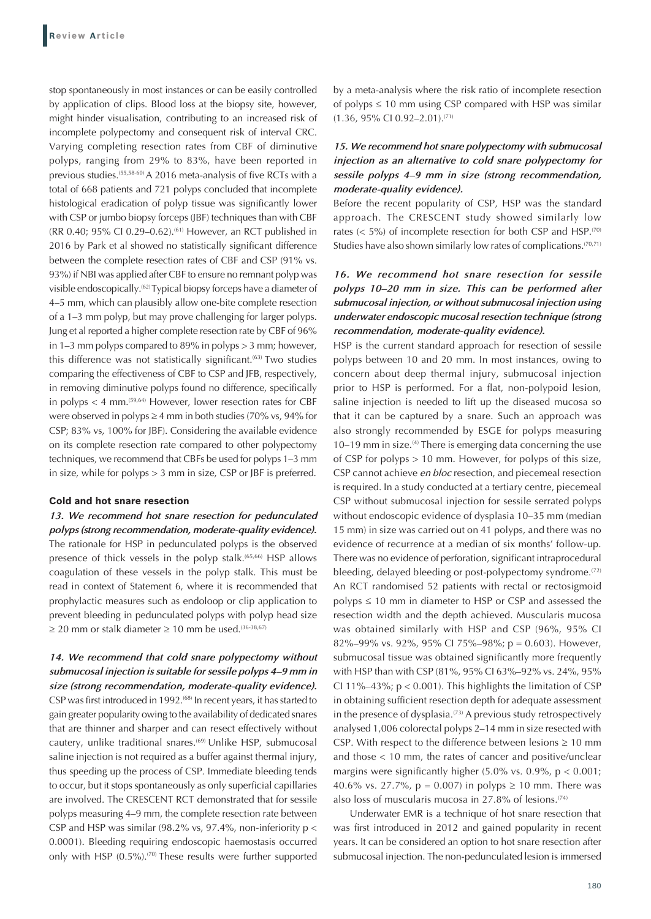stop spontaneously in most instances or can be easily controlled by application of clips. Blood loss at the biopsy site, however, might hinder visualisation, contributing to an increased risk of incomplete polypectomy and consequent risk of interval CRC. Varying completing resection rates from CBF of diminutive polyps, ranging from 29% to 83%, have been reported in previous studies.(55,58-60) A 2016 meta-analysis of five RCTs with a total of 668 patients and 721 polyps concluded that incomplete histological eradication of polyp tissue was significantly lower with CSP or jumbo biopsy forceps (JBF) techniques than with CBF (RR 0.40; 95% CI 0.29-0.62).<sup>(61)</sup> However, an RCT published in 2016 by Park et al showed no statistically significant difference between the complete resection rates of CBF and CSP (91% vs. 93%) if NBI was applied after CBF to ensure no remnant polyp was visible endoscopically.(62) Typical biopsy forceps have a diameter of 4–5 mm, which can plausibly allow one-bite complete resection of a 1–3 mm polyp, but may prove challenging for larger polyps. Jung et al reported a higher complete resection rate by CBF of 96% in 1–3 mm polyps compared to 89% in polyps > 3 mm; however, this difference was not statistically significant.<sup>(63)</sup> Two studies comparing the effectiveness of CBF to CSP and JFB, respectively, in removing diminutive polyps found no difference, specifically in polyps  $<$  4 mm.<sup> $(59,64)$ </sup> However, lower resection rates for CBF were observed in polyps  $\geq 4$  mm in both studies (70% vs, 94% for CSP; 83% vs, 100% for JBF). Considering the available evidence on its complete resection rate compared to other polypectomy techniques, we recommend that CBFs be used for polyps 1–3 mm in size, while for polyps > 3 mm in size, CSP or JBF is preferred.

#### **Cold and hot snare resection**

*13. We recommend hot snare resection for pedunculated polyps (strong recommendation, moderate-quality evidence).* The rationale for HSP in pedunculated polyps is the observed presence of thick vessels in the polyp stalk.(65,66) HSP allows coagulation of these vessels in the polyp stalk. This must be read in context of Statement 6, where it is recommended that prophylactic measures such as endoloop or clip application to prevent bleeding in pedunculated polyps with polyp head size ≥ 20 mm or stalk diameter ≥ 10 mm be used.<sup>(36-38,67)</sup>

*14. We recommend that cold snare polypectomy without submucosal injection is suitable for sessile polyps 4–9 mm in size (strong recommendation, moderate-quality evidence).* CSP was first introduced in 1992.<sup>(68)</sup> In recent years, it has started to gain greater popularity owing to the availability of dedicated snares that are thinner and sharper and can resect effectively without cautery, unlike traditional snares.<sup>(69)</sup> Unlike HSP, submucosal saline injection is not required as a buffer against thermal injury, thus speeding up the process of CSP. Immediate bleeding tends to occur, but it stops spontaneously as only superficial capillaries are involved. The CRESCENT RCT demonstrated that for sessile polyps measuring 4–9 mm, the complete resection rate between CSP and HSP was similar (98.2% vs, 97.4%, non-inferiority  $p <$ 0.0001). Bleeding requiring endoscopic haemostasis occurred only with HSP  $(0.5\%)$ .<sup>(70)</sup> These results were further supported by a meta-analysis where the risk ratio of incomplete resection of polyps  $\leq 10$  mm using CSP compared with HSP was similar (1.36, 95% CI 0.92–2.01).(71)

## *15. We recommend hot snare polypectomy with submucosal injection as an alternative to cold snare polypectomy for sessile polyps 4–9 mm in size (strong recommendation, moderate-quality evidence).*

Before the recent popularity of CSP, HSP was the standard approach. The CRESCENT study showed similarly low rates  $(< 5\%)$  of incomplete resection for both CSP and HSP.<sup>(70)</sup> Studies have also shown similarly low rates of complications.<sup>(70,71)</sup>

## *16. We recommend hot snare resection for sessile polyps 10–20 mm in size. This can be performed after submucosal injection, or without submucosal injection using underwater endoscopic mucosal resection technique (strong recommendation, moderate-quality evidence).*

HSP is the current standard approach for resection of sessile polyps between 10 and 20 mm. In most instances, owing to concern about deep thermal injury, submucosal injection prior to HSP is performed. For a flat, non-polypoid lesion, saline injection is needed to lift up the diseased mucosa so that it can be captured by a snare. Such an approach was also strongly recommended by ESGE for polyps measuring 10–19 mm in size.<sup>(4)</sup> There is emerging data concerning the use of CSP for polyps > 10 mm. However, for polyps of this size, CSP cannot achieve *en bloc* resection, and piecemeal resection is required. In a study conducted at a tertiary centre, piecemeal CSP without submucosal injection for sessile serrated polyps without endoscopic evidence of dysplasia 10–35 mm (median 15 mm) in size was carried out on 41 polyps, and there was no evidence of recurrence at a median of six months' follow-up. There was no evidence of perforation, significant intraprocedural bleeding, delayed bleeding or post-polypectomy syndrome.<sup>(72)</sup> An RCT randomised 52 patients with rectal or rectosigmoid polyps ≤ 10 mm in diameter to HSP or CSP and assessed the resection width and the depth achieved. Muscularis mucosa was obtained similarly with HSP and CSP (96%, 95% CI 82%–99% vs. 92%, 95% CI 75%–98%; p = 0.603). However, submucosal tissue was obtained significantly more frequently with HSP than with CSP (81%, 95% CI 63%–92% vs. 24%, 95% CI 11%–43%;  $p < 0.001$ ). This highlights the limitation of CSP in obtaining sufficient resection depth for adequate assessment in the presence of dysplasia.<sup>(73)</sup> A previous study retrospectively analysed 1,006 colorectal polyps 2–14 mm in size resected with CSP. With respect to the difference between lesions  $\geq 10$  mm and those < 10 mm, the rates of cancer and positive/unclear margins were significantly higher  $(5.0\% \text{ vs. } 0.9\%$ ,  $p < 0.001$ ; 40.6% vs. 27.7%,  $p = 0.007$  in polyps  $\ge 10$  mm. There was also loss of muscularis mucosa in 27.8% of lesions.(74)

Underwater EMR is a technique of hot snare resection that was first introduced in 2012 and gained popularity in recent years. It can be considered an option to hot snare resection after submucosal injection. The non-pedunculated lesion is immersed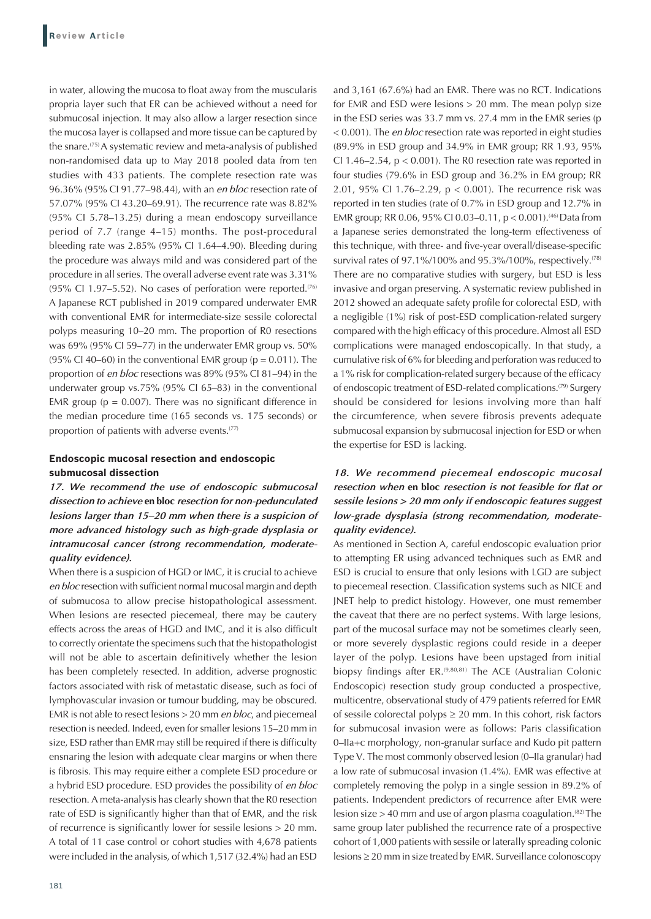in water, allowing the mucosa to float away from the muscularis propria layer such that ER can be achieved without a need for submucosal injection. It may also allow a larger resection since the mucosa layer is collapsed and more tissue can be captured by the snare.(75) A systematic review and meta-analysis of published non-randomised data up to May 2018 pooled data from ten studies with 433 patients. The complete resection rate was 96.36% (95% CI 91.77–98.44), with an *en bloc* resection rate of 57.07% (95% CI 43.20–69.91). The recurrence rate was 8.82% (95% CI 5.78–13.25) during a mean endoscopy surveillance period of 7.7 (range 4–15) months. The post-procedural bleeding rate was 2.85% (95% CI 1.64–4.90). Bleeding during the procedure was always mild and was considered part of the procedure in all series. The overall adverse event rate was 3.31% (95% Cl 1.97–5.52). No cases of perforation were reported.<sup> $(76)$ </sup> A Japanese RCT published in 2019 compared underwater EMR with conventional EMR for intermediate-size sessile colorectal polyps measuring 10–20 mm. The proportion of R0 resections was 69% (95% CI 59–77) in the underwater EMR group vs. 50% (95% CI 40–60) in the conventional EMR group ( $p = 0.011$ ). The proportion of *en bloc* resections was 89% (95% CI 81–94) in the underwater group vs.75% (95% CI 65–83) in the conventional EMR group ( $p = 0.007$ ). There was no significant difference in the median procedure time (165 seconds vs. 175 seconds) or proportion of patients with adverse events.(77)

## **Endoscopic mucosal resection and endoscopic submucosal dissection**

*17. We recommend the use of endoscopic submucosal dissection to achieve* **en bloc** *resection for non-pedunculated lesions larger than 15–20 mm when there is a suspicion of more advanced histology such as high-grade dysplasia or intramucosal cancer (strong recommendation, moderatequality evidence).*

When there is a suspicion of HGD or IMC, it is crucial to achieve *en bloc* resection with sufficient normal mucosal margin and depth of submucosa to allow precise histopathological assessment. When lesions are resected piecemeal, there may be cautery effects across the areas of HGD and IMC, and it is also difficult to correctly orientate the specimens such that the histopathologist will not be able to ascertain definitively whether the lesion has been completely resected. In addition, adverse prognostic factors associated with risk of metastatic disease, such as foci of lymphovascular invasion or tumour budding, may be obscured. EMR is not able to resect lesions > 20 mm *en bloc*, and piecemeal resection is needed. Indeed, even for smaller lesions 15–20 mm in size, ESD rather than EMR may still be required if there is difficulty ensnaring the lesion with adequate clear margins or when there is fibrosis. This may require either a complete ESD procedure or a hybrid ESD procedure. ESD provides the possibility of *en bloc* resection. A meta-analysis has clearly shown that the R0 resection rate of ESD is significantly higher than that of EMR, and the risk of recurrence is significantly lower for sessile lesions > 20 mm. A total of 11 case control or cohort studies with 4,678 patients were included in the analysis, of which 1,517 (32.4%) had an ESD for EMR and ESD were lesions > 20 mm. The mean polyp size in the ESD series was 33.7 mm vs. 27.4 mm in the EMR series (p < 0.001). The *en bloc* resection rate was reported in eight studies (89.9% in ESD group and 34.9% in EMR group; RR 1.93, 95% CI 1.46–2.54,  $p < 0.001$ ). The R0 resection rate was reported in four studies (79.6% in ESD group and 36.2% in EM group; RR 2.01, 95% CI 1.76–2.29, p < 0.001). The recurrence risk was reported in ten studies (rate of 0.7% in ESD group and 12.7% in EMR group; RR 0.06, 95% CI 0.03-0.11,  $p < 0.001$ ).<sup>(46)</sup> Data from a Japanese series demonstrated the long-term effectiveness of this technique, with three- and five-year overall/disease-specific survival rates of 97.1%/100% and 95.3%/100%, respectively.<sup>(78)</sup> There are no comparative studies with surgery, but ESD is less invasive and organ preserving. A systematic review published in 2012 showed an adequate safety profile for colorectal ESD, with a negligible (1%) risk of post-ESD complication-related surgery compared with the high efficacy of this procedure.Almost all ESD complications were managed endoscopically. In that study, a cumulative risk of 6% for bleeding and perforation was reduced to a 1% risk for complication-related surgery because of the efficacy of endoscopic treatment of ESD-related complications.(79) Surgery should be considered for lesions involving more than half the circumference, when severe fibrosis prevents adequate submucosal expansion by submucosal injection for ESD or when the expertise for ESD is lacking.

and 3,161 (67.6%) had an EMR. There was no RCT. Indications

## *18. We recommend piecemeal endoscopic mucosal resection when* **en bloc** *resection is not feasible for flat or sessile lesions > 20 mm only if endoscopic features suggest low-grade dysplasia (strong recommendation, moderatequality evidence).*

As mentioned in Section A, careful endoscopic evaluation prior to attempting ER using advanced techniques such as EMR and ESD is crucial to ensure that only lesions with LGD are subject to piecemeal resection. Classification systems such as NICE and JNET help to predict histology. However, one must remember the caveat that there are no perfect systems. With large lesions, part of the mucosal surface may not be sometimes clearly seen, or more severely dysplastic regions could reside in a deeper layer of the polyp. Lesions have been upstaged from initial biopsy findings after ER.<sup>(9,80,81)</sup> The ACE (Australian Colonic Endoscopic) resection study group conducted a prospective, multicentre, observational study of 479 patients referred for EMR of sessile colorectal polyps  $\geq 20$  mm. In this cohort, risk factors for submucosal invasion were as follows: Paris classification 0–IIa+c morphology, non-granular surface and Kudo pit pattern Type V. The most commonly observed lesion (0–IIa granular) had a low rate of submucosal invasion (1.4%). EMR was effective at completely removing the polyp in a single session in 89.2% of patients. Independent predictors of recurrence after EMR were lesion size  $> 40$  mm and use of argon plasma coagulation.<sup>(82)</sup> The same group later published the recurrence rate of a prospective cohort of 1,000 patients with sessile or laterally spreading colonic lesions ≥ 20 mm in size treated by EMR. Surveillance colonoscopy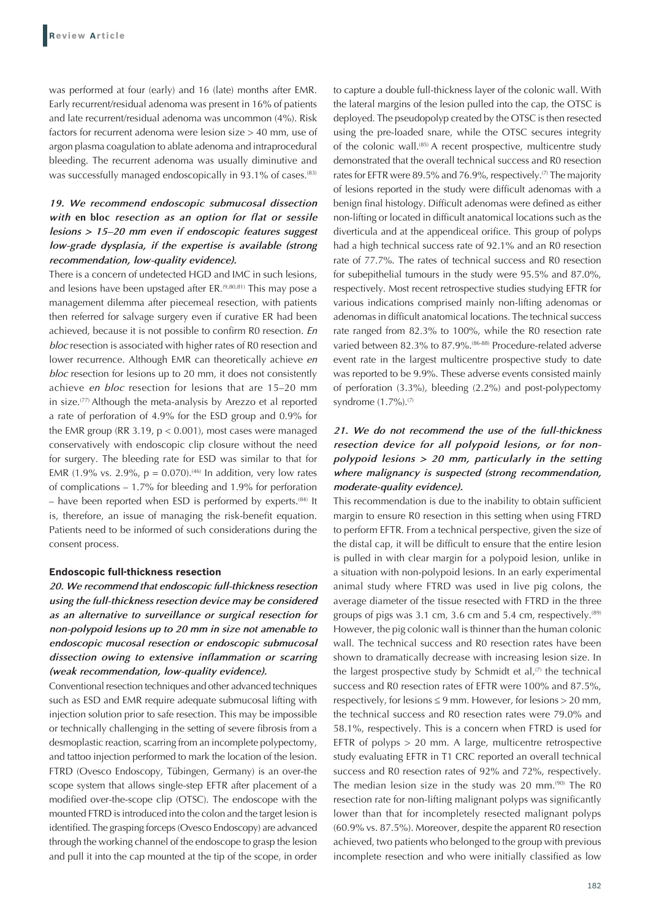was performed at four (early) and 16 (late) months after EMR. Early recurrent/residual adenoma was present in 16% of patients and late recurrent/residual adenoma was uncommon (4%). Risk factors for recurrent adenoma were lesion size > 40 mm, use of argon plasma coagulation to ablate adenoma and intraprocedural bleeding. The recurrent adenoma was usually diminutive and was successfully managed endoscopically in 93.1% of cases.<sup>(83)</sup>

## *19. We recommend endoscopic submucosal dissection with* **en bloc** *resection as an option for flat or sessile lesions > 15–20 mm even if endoscopic features suggest low-grade dysplasia, if the expertise is available (strong recommendation, low-quality evidence).*

There is a concern of undetected HGD and IMC in such lesions, and lesions have been upstaged after ER.<sup>(9,80,81)</sup> This may pose a management dilemma after piecemeal resection, with patients then referred for salvage surgery even if curative ER had been achieved, because it is not possible to confirm R0 resection. *En bloc* resection is associated with higher rates of R0 resection and lower recurrence. Although EMR can theoretically achieve *en bloc* resection for lesions up to 20 mm, it does not consistently achieve *en bloc* resection for lesions that are 15–20 mm in size.(77) Although the meta-analysis by Arezzo et al reported a rate of perforation of 4.9% for the ESD group and 0.9% for the EMR group (RR 3.19,  $p < 0.001$ ), most cases were managed conservatively with endoscopic clip closure without the need for surgery. The bleeding rate for ESD was similar to that for EMR (1.9% vs. 2.9%,  $p = 0.070$ ).<sup>(46)</sup> In addition, very low rates of complications – 1.7% for bleeding and 1.9% for perforation – have been reported when ESD is performed by experts.<sup>(84)</sup> It is, therefore, an issue of managing the risk-benefit equation. Patients need to be informed of such considerations during the consent process.

#### **Endoscopic full-thickness resection**

*20. We recommend that endoscopic full-thickness resection using the full-thickness resection device may be considered as an alternative to surveillance or surgical resection for non-polypoid lesions up to 20 mm in size not amenable to endoscopic mucosal resection or endoscopic submucosal dissection owing to extensive inflammation or scarring (weak recommendation, low-quality evidence).*

Conventional resection techniques and other advanced techniques such as ESD and EMR require adequate submucosal lifting with injection solution prior to safe resection. This may be impossible or technically challenging in the setting of severe fibrosis from a desmoplastic reaction, scarring from an incomplete polypectomy, and tattoo injection performed to mark the location of the lesion. FTRD (Ovesco Endoscopy, Tübingen, Germany) is an over-the scope system that allows single-step EFTR after placement of a modified over-the-scope clip (OTSC). The endoscope with the mounted FTRD is introduced into the colon and the target lesion is identified. The grasping forceps (Ovesco Endoscopy) are advanced through the working channel of the endoscope to grasp the lesion and pull it into the cap mounted at the tip of the scope, in order to capture a double full-thickness layer of the colonic wall. With the lateral margins of the lesion pulled into the cap, the OTSC is deployed. The pseudopolyp created by the OTSC is then resected using the pre-loaded snare, while the OTSC secures integrity of the colonic wall.<sup>(85)</sup> A recent prospective, multicentre study demonstrated that the overall technical success and R0 resection rates for EFTR were 89.5% and 76.9%, respectively.<sup>(7)</sup> The majority of lesions reported in the study were difficult adenomas with a benign final histology. Difficult adenomas were defined as either non-lifting or located in difficult anatomical locations such as the diverticula and at the appendiceal orifice. This group of polyps had a high technical success rate of 92.1% and an R0 resection rate of 77.7%. The rates of technical success and R0 resection for subepithelial tumours in the study were 95.5% and 87.0%, respectively. Most recent retrospective studies studying EFTR for various indications comprised mainly non-lifting adenomas or adenomas in difficult anatomical locations. The technical success rate ranged from 82.3% to 100%, while the R0 resection rate varied between 82.3% to 87.9%.(86-88) Procedure-related adverse event rate in the largest multicentre prospective study to date was reported to be 9.9%. These adverse events consisted mainly of perforation (3.3%), bleeding (2.2%) and post-polypectomy syndrome (1.7%).(7)

## *21. We do not recommend the use of the full-thickness resection device for all polypoid lesions, or for nonpolypoid lesions > 20 mm, particularly in the setting where malignancy is suspected (strong recommendation, moderate-quality evidence).*

This recommendation is due to the inability to obtain sufficient margin to ensure R0 resection in this setting when using FTRD to perform EFTR. From a technical perspective, given the size of the distal cap, it will be difficult to ensure that the entire lesion is pulled in with clear margin for a polypoid lesion, unlike in a situation with non-polypoid lesions. In an early experimental animal study where FTRD was used in live pig colons, the average diameter of the tissue resected with FTRD in the three groups of pigs was 3.1 cm, 3.6 cm and 5.4 cm, respectively.<sup>(89)</sup> However, the pig colonic wall is thinner than the human colonic wall. The technical success and R0 resection rates have been shown to dramatically decrease with increasing lesion size. In the largest prospective study by Schmidt et al, $(7)$  the technical success and R0 resection rates of EFTR were 100% and 87.5%, respectively, for lesions  $\leq$  9 mm. However, for lesions  $>$  20 mm, the technical success and R0 resection rates were 79.0% and 58.1%, respectively. This is a concern when FTRD is used for EFTR of polyps > 20 mm. A large, multicentre retrospective study evaluating EFTR in T1 CRC reported an overall technical success and R0 resection rates of 92% and 72%, respectively. The median lesion size in the study was 20 mm.<sup>(90)</sup> The R0 resection rate for non-lifting malignant polyps was significantly lower than that for incompletely resected malignant polyps (60.9% vs. 87.5%). Moreover, despite the apparent R0 resection achieved, two patients who belonged to the group with previous incomplete resection and who were initially classified as low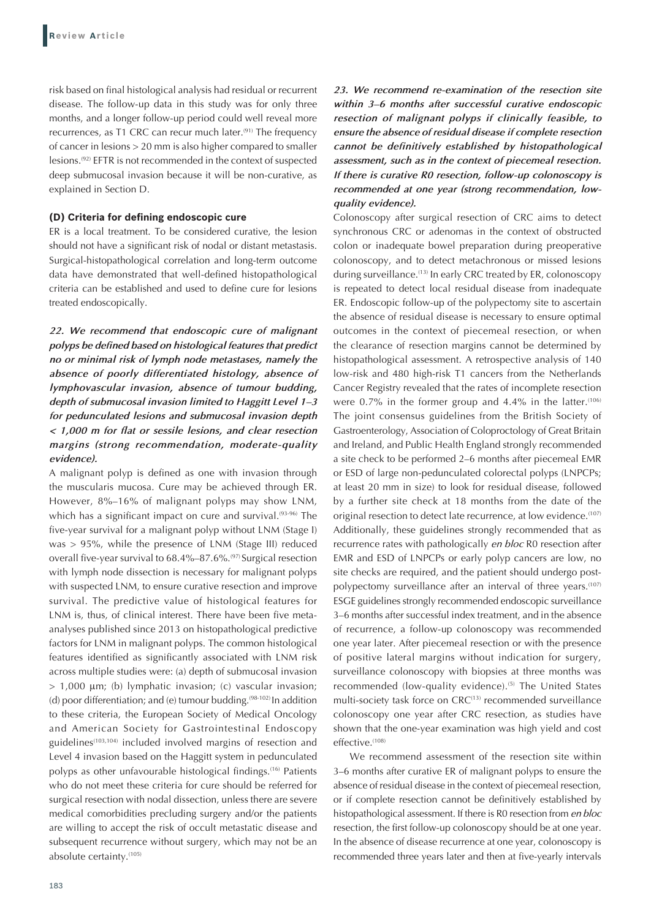risk based on final histological analysis had residual or recurrent disease. The follow-up data in this study was for only three months, and a longer follow-up period could well reveal more recurrences, as T1 CRC can recur much later.<sup>(91)</sup> The frequency of cancer in lesions > 20 mm is also higher compared to smaller lesions.(92) EFTR is not recommended in the context of suspected deep submucosal invasion because it will be non-curative, as explained in Section D.

#### **(D) Criteria for defining endoscopic cure**

ER is a local treatment. To be considered curative, the lesion should not have a significant risk of nodal or distant metastasis. Surgical-histopathological correlation and long-term outcome data have demonstrated that well-defined histopathological criteria can be established and used to define cure for lesions treated endoscopically.

*22. We recommend that endoscopic cure of malignant polyps be defined based on histological features that predict no or minimal risk of lymph node metastases, namely the absence of poorly differentiated histology, absence of lymphovascular invasion, absence of tumour budding, depth of submucosal invasion limited to Haggitt Level 1–3 for pedunculated lesions and submucosal invasion depth < 1,000 m for flat or sessile lesions, and clear resection margins (strong recommendation, moderate-quality evidence).*

A malignant polyp is defined as one with invasion through the muscularis mucosa. Cure may be achieved through ER. However, 8%–16% of malignant polyps may show LNM, which has a significant impact on cure and survival.<sup>(93-96)</sup> The five-year survival for a malignant polyp without LNM (Stage I) was > 95%, while the presence of LNM (Stage III) reduced overall five-year survival to 68.4%–87.6%.(97) Surgical resection with lymph node dissection is necessary for malignant polyps with suspected LNM, to ensure curative resection and improve survival. The predictive value of histological features for LNM is, thus, of clinical interest. There have been five metaanalyses published since 2013 on histopathological predictive factors for LNM in malignant polyps. The common histological features identified as significantly associated with LNM risk across multiple studies were: (a) depth of submucosal invasion > 1,000 μm; (b) lymphatic invasion; (c) vascular invasion; (d) poor differentiation; and (e) tumour budding.<sup>(98-102)</sup> In addition to these criteria, the European Society of Medical Oncology and American Society for Gastrointestinal Endoscopy guidelines(103,104) included involved margins of resection and Level 4 invasion based on the Haggitt system in pedunculated polyps as other unfavourable histological findings.(16) Patients who do not meet these criteria for cure should be referred for surgical resection with nodal dissection, unless there are severe medical comorbidities precluding surgery and/or the patients are willing to accept the risk of occult metastatic disease and subsequent recurrence without surgery, which may not be an absolute certainty.(105)

## *23. We recommend re-examination of the resection site within 3–6 months after successful curative endoscopic resection of malignant polyps if clinically feasible, to ensure the absence of residual disease if complete resection cannot be definitively established by histopathological assessment, such as in the context of piecemeal resection. If there is curative R0 resection, follow-up colonoscopy is recommended at one year (strong recommendation, lowquality evidence).*

Colonoscopy after surgical resection of CRC aims to detect synchronous CRC or adenomas in the context of obstructed colon or inadequate bowel preparation during preoperative colonoscopy, and to detect metachronous or missed lesions during surveillance.<sup>(13)</sup> In early CRC treated by ER, colonoscopy is repeated to detect local residual disease from inadequate ER. Endoscopic follow-up of the polypectomy site to ascertain the absence of residual disease is necessary to ensure optimal outcomes in the context of piecemeal resection, or when the clearance of resection margins cannot be determined by histopathological assessment. A retrospective analysis of 140 low-risk and 480 high-risk T1 cancers from the Netherlands Cancer Registry revealed that the rates of incomplete resection were  $0.7\%$  in the former group and  $4.4\%$  in the latter.<sup>(106)</sup> The joint consensus guidelines from the British Society of Gastroenterology, Association of Coloproctology of Great Britain and Ireland, and Public Health England strongly recommended a site check to be performed 2–6 months after piecemeal EMR or ESD of large non-pedunculated colorectal polyps (LNPCPs; at least 20 mm in size) to look for residual disease, followed by a further site check at 18 months from the date of the original resection to detect late recurrence, at low evidence.<sup>(107)</sup> Additionally, these guidelines strongly recommended that as recurrence rates with pathologically *en bloc* R0 resection after EMR and ESD of LNPCPs or early polyp cancers are low, no site checks are required, and the patient should undergo postpolypectomy surveillance after an interval of three years.<sup>(107)</sup> ESGE guidelines strongly recommended endoscopic surveillance 3–6 months after successful index treatment, and in the absence of recurrence, a follow-up colonoscopy was recommended one year later. After piecemeal resection or with the presence of positive lateral margins without indication for surgery, surveillance colonoscopy with biopsies at three months was recommended (low-quality evidence).<sup>(5)</sup> The United States multi-society task force on CRC<sup>(13)</sup> recommended surveillance colonoscopy one year after CRC resection, as studies have shown that the one-year examination was high yield and cost effective.<sup>(108)</sup>

We recommend assessment of the resection site within 3–6 months after curative ER of malignant polyps to ensure the absence of residual disease in the context of piecemeal resection, or if complete resection cannot be definitively established by histopathological assessment. If there is R0 resection from *en bloc* resection, the first follow-up colonoscopy should be at one year. In the absence of disease recurrence at one year, colonoscopy is recommended three years later and then at five-yearly intervals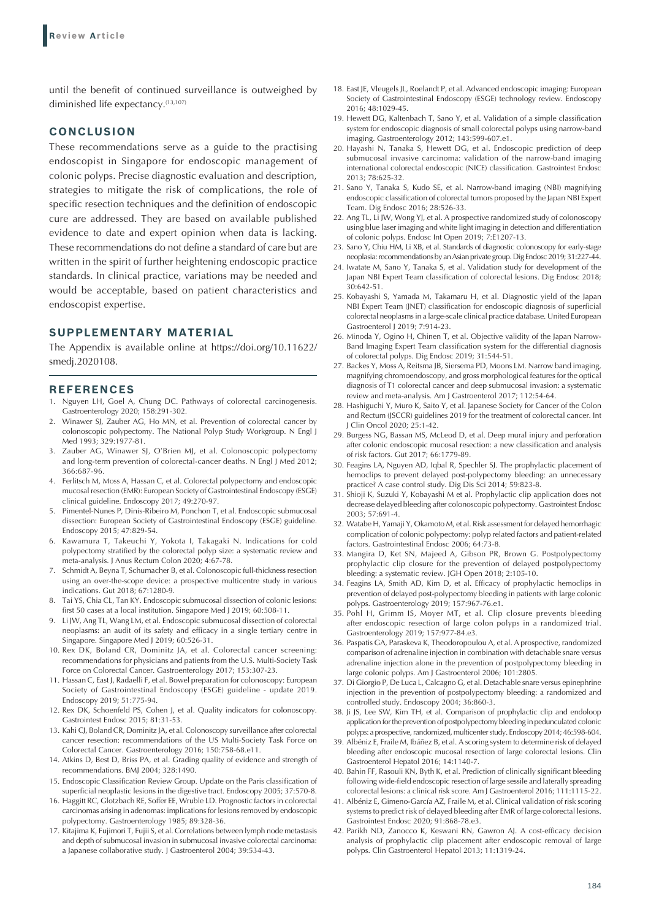until the benefit of continued surveillance is outweighed by diminished life expectancy.<sup>(13,107)</sup>

#### **CONCLUSION**

These recommendations serve as a guide to the practising endoscopist in Singapore for endoscopic management of colonic polyps. Precise diagnostic evaluation and description, strategies to mitigate the risk of complications, the role of specific resection techniques and the definition of endoscopic cure are addressed. They are based on available published evidence to date and expert opinion when data is lacking. These recommendations do not define a standard of care but are written in the spirit of further heightening endoscopic practice standards. In clinical practice, variations may be needed and would be acceptable, based on patient characteristics and endoscopist expertise.

## **SUPPLEMENTARY MATERIAL**

The Appendix is available online at https://doi.org/10.11622/ smedj.2020108.

#### **REFERENCES**

- 1. Nguyen LH, Goel A, Chung DC. Pathways of colorectal carcinogenesis. Gastroenterology 2020; 158:291-302.
- 2. Winawer SJ, Zauber AG, Ho MN, et al. Prevention of colorectal cancer by colonoscopic polypectomy. The National Polyp Study Workgroup. N Engl J Med 1993; 329:1977-81.
- 3. Zauber AG, Winawer SJ, O'Brien MJ, et al. Colonoscopic polypectomy and long-term prevention of colorectal-cancer deaths. N Engl J Med 2012; 366:687-96.
- 4. Ferlitsch M, Moss A, Hassan C, et al. Colorectal polypectomy and endoscopic mucosal resection (EMR): European Society of Gastrointestinal Endoscopy (ESGE) clinical guideline. Endoscopy 2017; 49:270-97.
- Pimentel-Nunes P, Dinis-Ribeiro M, Ponchon T, et al. Endoscopic submucosal dissection: European Society of Gastrointestinal Endoscopy (ESGE) guideline. Endoscopy 2015; 47:829-54.
- 6. Kawamura T, Takeuchi Y, Yokota I, Takagaki N. Indications for cold polypectomy stratified by the colorectal polyp size: a systematic review and meta-analysis. J Anus Rectum Colon 2020; 4:67-78.
- 7. Schmidt A, Beyna T, Schumacher B, et al. Colonoscopic full-thickness resection using an over-the-scope device: a prospective multicentre study in various indications. Gut 2018; 67:1280-9.
- 8. Tai YS, Chia CL, Tan KY. Endoscopic submucosal dissection of colonic lesions: first 50 cases at a local institution. Singapore Med J 2019; 60:508-11.
- 9. Li JW, Ang TL, Wang LM, et al. Endoscopic submucosal dissection of colorectal neoplasms: an audit of its safety and efficacy in a single tertiary centre in Singapore. Singapore Med J 2019; 60:526-31.
- 10. Rex DK, Boland CR, Dominitz JA, et al. Colorectal cancer screening: recommendations for physicians and patients from the U.S. Multi-Society Task Force on Colorectal Cancer. Gastroenterology 2017; 153:307-23.
- 11. Hassan C, East J, Radaelli F, et al. Bowel preparation for colonoscopy: European Society of Gastrointestinal Endoscopy (ESGE) guideline - update 2019. Endoscopy 2019; 51:775-94.
- 12. Rex DK, Schoenfeld PS, Cohen J, et al. Quality indicators for colonoscopy. Gastrointest Endosc 2015; 81:31-53.
- 13. Kahi CJ, Boland CR, Dominitz JA, et al. Colonoscopy surveillance after colorectal cancer resection: recommendations of the US Multi-Society Task Force on Colorectal Cancer. Gastroenterology 2016; 150:758-68.e11.
- 14. Atkins D, Best D, Briss PA, et al. Grading quality of evidence and strength of recommendations. BMJ 2004; 328:1490.
- 15. Endoscopic Classification Review Group. Update on the Paris classification of superficial neoplastic lesions in the digestive tract. Endoscopy 2005; 37:570-8.
- 16. Haggitt RC, Glotzbach RE, Soffer EE, Wruble LD. Prognostic factors in colorectal carcinomas arising in adenomas: implications for lesions removed by endoscopic polypectomy. Gastroenterology 1985; 89:328-36.
- 17. Kitajima K, Fujimori T, Fujii S, et al. Correlations between lymph node metastasis and depth of submucosal invasion in submucosal invasive colorectal carcinoma: a Japanese collaborative study. J Gastroenterol 2004; 39:534-43.
- 18. East JE, Vleugels JL, Roelandt P, et al. Advanced endoscopic imaging: European Society of Gastrointestinal Endoscopy (ESGE) technology review. Endoscopy 2016; 48:1029-45.
- 19. Hewett DG, Kaltenbach T, Sano Y, et al. Validation of a simple classification system for endoscopic diagnosis of small colorectal polyps using narrow-band imaging. Gastroenterology 2012; 143:599-607.e1.
- 20. Hayashi N, Tanaka S, Hewett DG, et al. Endoscopic prediction of deep submucosal invasive carcinoma: validation of the narrow-band imaging international colorectal endoscopic (NICE) classification. Gastrointest Endosc 2013; 78:625-32.
- 21. Sano Y, Tanaka S, Kudo SE, et al. Narrow-band imaging (NBI) magnifying endoscopic classification of colorectal tumors proposed by the Japan NBI Expert Team. Dig Endosc 2016; 28:526-33.
- 22. Ang TL, Li JW, Wong YJ, et al. A prospective randomized study of colonoscopy using blue laser imaging and white light imaging in detection and differentiation of colonic polyps. Endosc Int Open 2019; 7:E1207-13.
- 23. Sano Y, Chiu HM, Li XB, et al. Standards of diagnostic colonoscopy for early-stage neoplasia: recommendations by an Asian private group. Dig Endosc 2019; 31:227-44.
- 24. Iwatate M, Sano Y, Tanaka S, et al. Validation study for development of the Japan NBI Expert Team classification of colorectal lesions. Dig Endosc 2018; 30:642-51.
- 25. Kobayashi S, Yamada M, Takamaru H, et al. Diagnostic yield of the Japan NBI Expert Team (JNET) classification for endoscopic diagnosis of superficial colorectal neoplasms in a large-scale clinical practice database. United European Gastroenterol J 2019; 7:914-23.
- 26. Minoda Y, Ogino H, Chinen T, et al. Objective validity of the Japan Narrow-Band Imaging Expert Team classification system for the differential diagnosis of colorectal polyps. Dig Endosc 2019; 31:544-51.
- 27. Backes Y, Moss A, Reitsma JB, Siersema PD, Moons LM. Narrow band imaging, magnifying chromoendoscopy, and gross morphological features for the optical diagnosis of T1 colorectal cancer and deep submucosal invasion: a systematic review and meta-analysis. Am J Gastroenterol 2017; 112:54-64.
- 28. Hashiguchi Y, Muro K, Saito Y, et al. Japanese Society for Cancer of the Colon and Rectum (JSCCR) guidelines 2019 for the treatment of colorectal cancer. Int J Clin Oncol 2020; 25:1-42.
- 29. Burgess NG, Bassan MS, McLeod D, et al. Deep mural injury and perforation after colonic endoscopic mucosal resection: a new classification and analysis of risk factors. Gut 2017; 66:1779-89.
- 30. Feagins LA, Nguyen AD, Iqbal R, Spechler SJ. The prophylactic placement of hemoclips to prevent delayed post-polypectomy bleeding: an unnecessary practice? A case control study. Dig Dis Sci 2014; 59:823-8.
- 31. Shioji K, Suzuki Y, Kobayashi M et al. Prophylactic clip application does not decrease delayed bleeding after colonoscopic polypectomy. Gastrointest Endosc 2003; 57:691-4.
- 32. Watabe H, Yamaji Y, Okamoto M, et al. Risk assessment for delayed hemorrhagic complication of colonic polypectomy: polyp related factors and patient-related factors. Gastrointestinal Endosc 2006; 64:73-8.
- 33. Mangira D, Ket SN, Majeed A, Gibson PR, Brown G. Postpolypectomy prophylactic clip closure for the prevention of delayed postpolypectomy bleeding: a systematic review. JGH Open 2018; 2:105-10.
- 34. Feagins LA, Smith AD, Kim D, et al. Efficacy of prophylactic hemoclips in prevention of delayed post-polypectomy bleeding in patients with large colonic polyps. Gastroenterology 2019; 157:967-76.e1.
- 35. Pohl H, Grimm IS, Moyer MT, et al. Clip closure prevents bleeding after endoscopic resection of large colon polyps in a randomized trial. Gastroenterology 2019; 157:977-84.e3.
- 36. Paspatis GA, Paraskeva K, Theodoropoulou A, et al. A prospective, randomized comparison of adrenaline injection in combination with detachable snare versus adrenaline injection alone in the prevention of postpolypectomy bleeding in large colonic polyps. Am J Gastroenterol 2006; 101:2805.
- 37. Di Giorgio P, De Luca L, Calcagno G, et al. Detachable snare versus epinephrine injection in the prevention of postpolypectomy bleeding: a randomized and controlled study. Endoscopy 2004; 36:860-3.
- 38. Ji JS, Lee SW, Kim TH, et al. Comparison of prophylactic clip and endoloop application for the prevention of postpolypectomy bleeding in pedunculated colonic polyps: a prospective, randomized, multicenter study. Endoscopy 2014; 46:598-604.
- 39. Albéniz E, Fraile M, Ibáñez B, et al. A scoring system to determine risk of delayed bleeding after endoscopic mucosal resection of large colorectal lesions. Clin Gastroenterol Hepatol 2016; 14:1140-7.
- 40. Bahin FF, Rasouli KN, Byth K, et al. Prediction of clinically significant bleeding following wide-field endoscopic resection of large sessile and laterally spreading colorectal lesions: a clinical risk score. Am J Gastroenterol 2016; 111:1115-22.
- 41. Albéniz E, Gimeno-García AZ, Fraile M, et al. Clinical validation of risk scoring systems to predict risk of delayed bleeding after EMR of large colorectal lesions. Gastrointest Endosc 2020; 91:868-78.e3.
- 42. Parikh ND, Zanocco K, Keswani RN, Gawron AJ. A cost-efficacy decision analysis of prophylactic clip placement after endoscopic removal of large polyps. Clin Gastroenterol Hepatol 2013; 11:1319-24.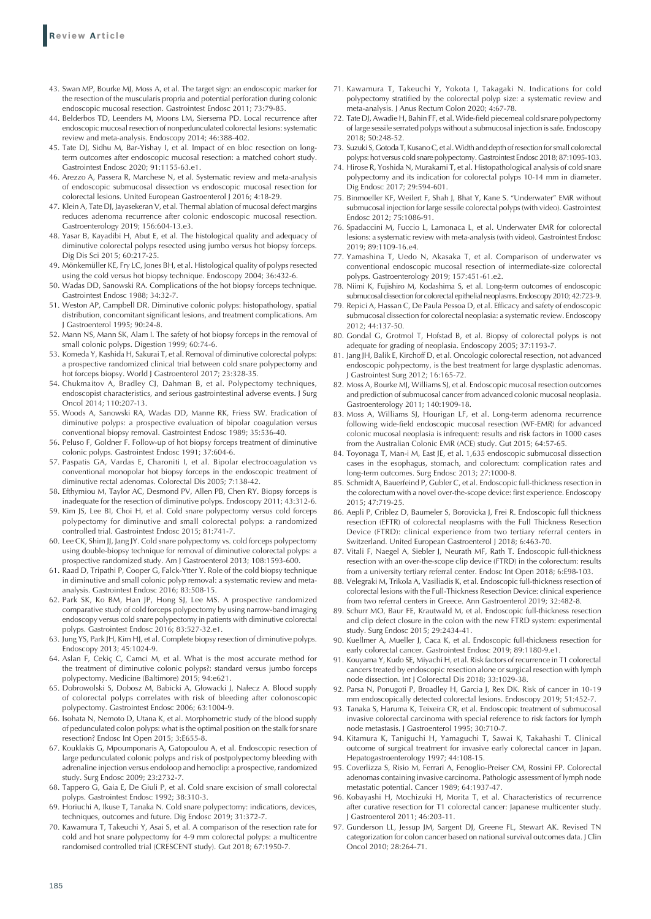- 43. Swan MP, Bourke MJ, Moss A, et al. The target sign: an endoscopic marker for the resection of the muscularis propria and potential perforation during colonic endoscopic mucosal resection. Gastrointest Endosc 2011; 73:79-85.
- 44. Belderbos TD, Leenders M, Moons LM, Siersema PD. Local recurrence after endoscopic mucosal resection of nonpedunculated colorectal lesions: systematic review and meta-analysis. Endoscopy 2014; 46:388-402.
- 45. Tate DJ, Sidhu M, Bar-Yishay I, et al. Impact of en bloc resection on longterm outcomes after endoscopic mucosal resection: a matched cohort study. Gastrointest Endosc 2020; 91:1155-63.e1.
- 46. Arezzo A, Passera R, Marchese N, et al. Systematic review and meta-analysis of endoscopic submucosal dissection vs endoscopic mucosal resection for colorectal lesions. United European Gastroenterol J 2016; 4:18-29.
- 47. Klein A, Tate DJ, Jayasekeran V, et al. Thermal ablation of mucosal defect margins reduces adenoma recurrence after colonic endoscopic mucosal resection. Gastroenterology 2019; 156:604-13.e3.
- 48. Yasar B, Kayadibi H, Abut E, et al. The histological quality and adequacy of diminutive colorectal polyps resected using jumbo versus hot biopsy forceps. Dig Dis Sci 2015; 60:217-25.
- 49. Mönkemüller KE, Fry LC, Jones BH, et al. Histological quality of polyps resected using the cold versus hot biopsy technique. Endoscopy 2004; 36:432-6.
- 50. Wadas DD, Sanowski RA. Complications of the hot biopsy forceps technique. Gastrointest Endosc 1988; 34:32-7.
- 51. Weston AP, Campbell DR. Diminutive colonic polyps: histopathology, spatial distribution, concomitant significant lesions, and treatment complications. Am J Gastroenterol 1995; 90:24-8.
- 52. Mann NS, Mann SK, Alam I. The safety of hot biopsy forceps in the removal of small colonic polyps. Digestion 1999; 60:74-6.
- 53. Komeda Y, Kashida H, Sakurai T, et al. Removal of diminutive colorectal polyps: a prospective randomized clinical trial between cold snare polypectomy and hot forceps biopsy. World J Gastroenterol 2017; 23:328-35.
- 54. Chukmaitov A, Bradley CJ, Dahman B, et al. Polypectomy techniques, endoscopist characteristics, and serious gastrointestinal adverse events. J Surg Oncol 2014; 110:207-13.
- 55. Woods A, Sanowski RA, Wadas DD, Manne RK, Friess SW. Eradication of diminutive polyps: a prospective evaluation of bipolar coagulation versus conventional biopsy removal. Gastrointest Endosc 1989; 35:536-40.
- 56. Peluso F, Goldner F. Follow-up of hot biopsy forceps treatment of diminutive colonic polyps. Gastrointest Endosc 1991; 37:604-6.
- 57. Paspatis GA, Vardas E, Charoniti I, et al. Bipolar electrocoagulation vs conventional monopolar hot biopsy forceps in the endoscopic treatment of diminutive rectal adenomas. Colorectal Dis 2005; 7:138-42.
- 58. Efthymiou M, Taylor AC, Desmond PV, Allen PB, Chen RY. Biopsy forceps is inadequate for the resection of diminutive polyps. Endoscopy 2011; 43:312-6.
- 59. Kim JS, Lee BI, Choi H, et al. Cold snare polypectomy versus cold forceps polypectomy for diminutive and small colorectal polyps: a randomized controlled trial. Gastrointest Endosc 2015; 81:741-7.
- 60. Lee CK, Shim JJ, Jang JY. Cold snare polypectomy vs. cold forceps polypectomy using double-biopsy technique for removal of diminutive colorectal polyps: a prospective randomized study. Am J Gastroenterol 2013; 108:1593-600.
- 61. Raad D, Tripathi P, Cooper G, Falck-Ytter Y. Role of the cold biopsy technique in diminutive and small colonic polyp removal: a systematic review and metaanalysis. Gastrointest Endosc 2016; 83:508-15.
- 62. Park SK, Ko BM, Han JP, Hong SJ, Lee MS. A prospective randomized comparative study of cold forceps polypectomy by using narrow-band imaging endoscopy versus cold snare polypectomy in patients with diminutive colorectal polyps. Gastrointest Endosc 2016; 83:527-32.e1.
- 63. Jung YS, Park JH, Kim HJ, et al. Complete biopsy resection of diminutive polyps. Endoscopy 2013; 45:1024-9.
- 64. Aslan F, Cekiç C, Camci M, et al. What is the most accurate method for the treatment of diminutive colonic polyps?: standard versus jumbo forceps polypectomy. Medicine (Baltimore) 2015; 94:e621.
- 65. Dobrowolski S, Dobosz M, Babicki A, Głowacki J, Nałecz A. Blood supply of colorectal polyps correlates with risk of bleeding after colonoscopic polypectomy. Gastrointest Endosc 2006; 63:1004-9.
- 66. Isohata N, Nemoto D, Utana K, et al. Morphometric study of the blood supply of pedunculated colon polyps: what is the optimal position on the stalk for snare resection? Endosc Int Open 2015; 3:E655-8.
- 67. Kouklakis G, Mpoumponaris A, Gatopoulou A, et al. Endoscopic resection of large pedunculated colonic polyps and risk of postpolypectomy bleeding with adrenaline injection versus endoloop and hemoclip: a prospective, randomized study. Surg Endosc 2009; 23:2732-7.
- 68. Tappero G, Gaia E, De Giuli P, et al. Cold snare excision of small colorectal polyps. Gastrointest Endosc 1992; 38:310-3.
- 69. Horiuchi A, Ikuse T, Tanaka N. Cold snare polypectomy: indications, devices, techniques, outcomes and future. Dig Endosc 2019; 31:372-7.
- 70. Kawamura T, Takeuchi Y, Asai S, et al. A comparison of the resection rate for cold and hot snare polypectomy for 4-9 mm colorectal polyps: a multicentre randomised controlled trial (CRESCENT study). Gut 2018; 67:1950-7.
- 71. Kawamura T, Takeuchi Y, Yokota I, Takagaki N. Indications for cold polypectomy stratified by the colorectal polyp size: a systematic review and meta-analysis. J Anus Rectum Colon 2020; 4:67-78.
- 72. Tate DJ, Awadie H, Bahin FF, et al. Wide-field piecemeal cold snare polypectomy of large sessile serrated polyps without a submucosal injection is safe. Endoscopy 2018; 50:248-52.
- 73. Suzuki S, Gotoda T, Kusano C, et al. Width and depth of resection for small colorectal polyps: hot versus cold snare polypectomy. Gastrointest Endosc 2018; 87:1095-103.
- 74. Hirose R, Yoshida N, Murakami T, et al. Histopathological analysis of cold snare polypectomy and its indication for colorectal polyps 10-14 mm in diameter. Dig Endosc 2017; 29:594-601.
- 75. Binmoeller KF, Weilert F, Shah J, Bhat Y, Kane S. "Underwater" EMR without submucosal injection for large sessile colorectal polyps (with video). Gastrointest Endosc 2012; 75:1086-91.
- 76. Spadaccini M, Fuccio L, Lamonaca L, et al. Underwater EMR for colorectal lesions: a systematic review with meta-analysis (with video). Gastrointest Endosc 2019; 89:1109-16.e4.
- 77. Yamashina T, Uedo N, Akasaka T, et al. Comparison of underwater vs conventional endoscopic mucosal resection of intermediate-size colorectal polyps. Gastroenterology 2019; 157:451-61.e2.
- 78. Niimi K, Fujishiro M, Kodashima S, et al. Long-term outcomes of endoscopic submucosal dissection for colorectal epithelial neoplasms. Endoscopy 2010; 42:723-9.
- 79. Repici A, Hassan C, De Paula Pessoa D, et al. Efficacy and safety of endoscopic submucosal dissection for colorectal neoplasia: a systematic review. Endoscopy 2012; 44:137-50.
- 80. Gondal G, Grotmol T, Hofstad B, et al. Biopsy of colorectal polyps is not adequate for grading of neoplasia. Endoscopy 2005; 37:1193-7.
- 81. Jang JH, Balik E, Kirchoff D, et al. Oncologic colorectal resection, not advanced endoscopic polypectomy, is the best treatment for large dysplastic adenomas. J Gastrointest Surg 2012; 16:165-72.
- 82. Moss A, Bourke MJ, Williams SJ, et al. Endoscopic mucosal resection outcomes and prediction of submucosal cancer from advanced colonic mucosal neoplasia. Gastroenterology 2011; 140:1909-18.
- 83. Moss A, Williams SJ, Hourigan LF, et al. Long-term adenoma recurrence following wide-field endoscopic mucosal resection (WF-EMR) for advanced colonic mucosal neoplasia is infrequent: results and risk factors in 1000 cases from the Australian Colonic EMR (ACE) study. Gut 2015; 64:57-65.
- 84. Toyonaga T, Man-i M, East JE, et al. 1,635 endoscopic submucosal dissection cases in the esophagus, stomach, and colorectum: complication rates and long-term outcomes. Surg Endosc 2013; 27:1000-8.
- 85. Schmidt A, Bauerfeind P, Gubler C, et al. Endoscopic full-thickness resection in the colorectum with a novel over-the-scope device: first experience. Endoscopy 2015; 47:719-25.
- 86. Aepli P, Criblez D, Baumeler S, Borovicka J, Frei R. Endoscopic full thickness resection (EFTR) of colorectal neoplasms with the Full Thickness Resection Device (FTRD): clinical experience from two tertiary referral centers in Switzerland. United European Gastroenterol J 2018; 6:463-70.
- 87. Vitali F, Naegel A, Siebler J, Neurath MF, Rath T. Endoscopic full-thickness resection with an over-the-scope clip device (FTRD) in the colorectum: results from a university tertiary referral center. Endosc Int Open 2018; 6:E98-103.
- 88. Velegraki M, Trikola A, Vasiliadis K, et al. Endoscopic full-thickness resection of colorectal lesions with the Full-Thickness Resection Device: clinical experience from two referral centers in Greece. Ann Gastroenterol 2019; 32:482-8.
- 89. Schurr MO, Baur FE, Krautwald M, et al. Endoscopic full-thickness resection and clip defect closure in the colon with the new FTRD system: experimental study. Surg Endosc 2015; 29:2434-41.
- 90. Kuellmer A, Mueller J, Caca K, et al. Endoscopic full-thickness resection for early colorectal cancer. Gastrointest Endosc 2019; 89:1180-9.e1.
- 91. Kouyama Y, Kudo SE, Miyachi H, et al. Risk factors of recurrence in T1 colorectal cancers treated by endoscopic resection alone or surgical resection with lymph node dissection. Int J Colorectal Dis 2018; 33:1029-38.
- 92. Parsa N, Ponugoti P, Broadley H, Garcia J, Rex DK. Risk of cancer in 10-19 mm endoscopically detected colorectal lesions. Endoscopy 2019; 51:452-7.
- 93. Tanaka S, Haruma K, Teixeira CR, et al. Endoscopic treatment of submucosal invasive colorectal carcinoma with special reference to risk factors for lymph node metastasis. J Gastroenterol 1995; 30:710-7.
- 94. Kitamura K, Taniguchi H, Yamaguchi T, Sawai K, Takahashi T. Clinical outcome of surgical treatment for invasive early colorectal cancer in Japan. Hepatogastroenterology 1997; 44:108-15.
- 95. Coverlizza S, Risio M, Ferrari A, Fenoglio-Preiser CM, Rossini FP. Colorectal adenomas containing invasive carcinoma. Pathologic assessment of lymph node metastatic potential. Cancer 1989; 64:1937-47.
- 96. Kobayashi H, Mochizuki H, Morita T, et al. Characteristics of recurrence after curative resection for T1 colorectal cancer: Japanese multicenter study. J Gastroenterol 2011; 46:203-11.
- 97. Gunderson LL, Jessup JM, Sargent DJ, Greene FL, Stewart AK. Revised TN categorization for colon cancer based on national survival outcomes data. J Clin Oncol 2010; 28:264-71.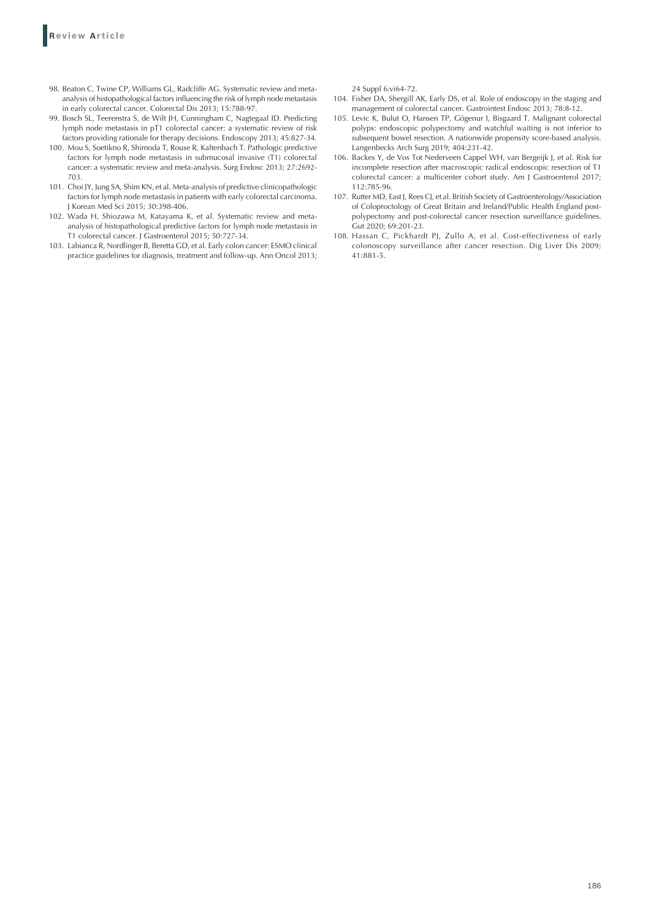- 98. Beaton C, Twine CP, Williams GL, Radcliffe AG. Systematic review and metaanalysis of histopathological factors influencing the risk of lymph node metastasis in early colorectal cancer. Colorectal Dis 2013; 15:788-97.
- 99. Bosch SL, Teerenstra S, de Wilt JH, Cunningham C, Nagtegaal ID. Predicting lymph node metastasis in pT1 colorectal cancer: a systematic review of risk factors providing rationale for therapy decisions. Endoscopy 2013; 45:827-34.
- 100. Mou S, Soetikno R, Shimoda T, Rouse R, Kaltenbach T. Pathologic predictive factors for lymph node metastasis in submucosal invasive (T1) colorectal cancer: a systematic review and meta-analysis. Surg Endosc 2013; 27:2692- 703.
- 101. Choi JY, Jung SA, Shim KN, et al. Meta-analysis of predictive clinicopathologic factors for lymph node metastasis in patients with early colorectal carcinoma. J Korean Med Sci 2015; 30:398-406.
- 102. Wada H, Shiozawa M, Katayama K, et al. Systematic review and metaanalysis of histopathological predictive factors for lymph node metastasis in T1 colorectal cancer. J Gastroenterol 2015; 50:727-34.
- 103. Labianca R, Nordlinger B, Beretta GD, et al. Early colon cancer: ESMO clinical practice guidelines for diagnosis, treatment and follow-up. Ann Oncol 2013;

24 Suppl 6:vi64-72.

- 104. Fisher DA, Shergill AK, Early DS, et al. Role of endoscopy in the staging and management of colorectal cancer. Gastrointest Endosc 2013; 78:8-12.
- 105. Levic K, Bulut O, Hansen TP, Gögenur I, Bisgaard T. Malignant colorectal polyps: endoscopic polypectomy and watchful waiting is not inferior to subsequent bowel resection. A nationwide propensity score-based analysis. Langenbecks Arch Surg 2019; 404:231-42.
- 106. Backes Y, de Vos Tot Nederveen Cappel WH, van Bergeijk J, et al. Risk for incomplete resection after macroscopic radical endoscopic resection of T1 colorectal cancer: a multicenter cohort study. Am J Gastroenterol 2017; 112:785-96.
- 107. Rutter MD, East J, Rees CJ, et al. British Society of Gastroenterology/Association of Coloproctology of Great Britain and Ireland/Public Health England postpolypectomy and post-colorectal cancer resection surveillance guidelines. Gut 2020; 69:201-23.
- 108. Hassan C, Pickhardt PJ, Zullo A, et al. Cost-effectiveness of early colonoscopy surveillance after cancer resection. Dig Liver Dis 2009; 41:881-5.